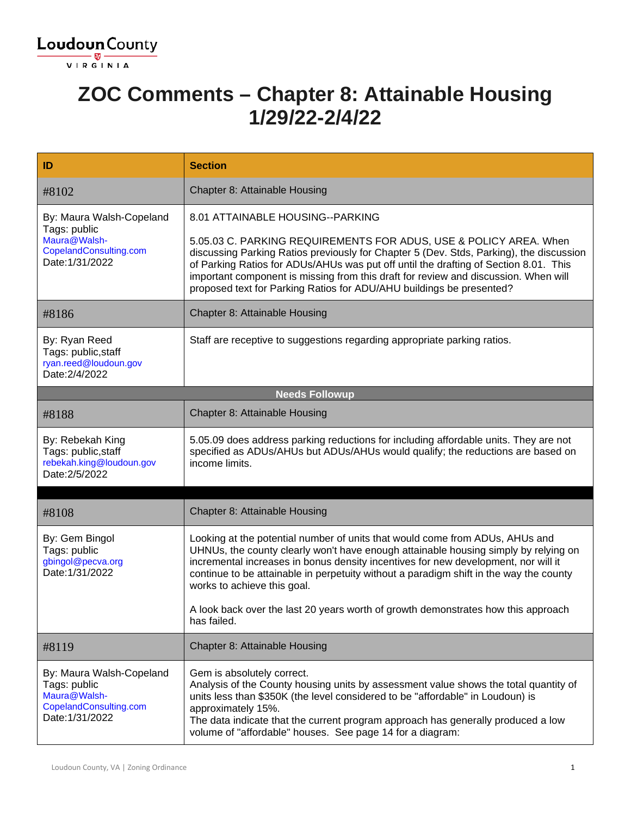

### **ZOC Comments – Chapter 8: Attainable Housing 1/29/22-2/4/22**

| ID                                                                                                    | <b>Section</b>                                                                                                                                                                                                                                                                                                                                                                                                      |
|-------------------------------------------------------------------------------------------------------|---------------------------------------------------------------------------------------------------------------------------------------------------------------------------------------------------------------------------------------------------------------------------------------------------------------------------------------------------------------------------------------------------------------------|
| #8102                                                                                                 | Chapter 8: Attainable Housing                                                                                                                                                                                                                                                                                                                                                                                       |
| By: Maura Walsh-Copeland                                                                              | 8.01 ATTAINABLE HOUSING--PARKING                                                                                                                                                                                                                                                                                                                                                                                    |
| Tags: public<br>Maura@Walsh-<br>CopelandConsulting.com<br>Date: 1/31/2022                             | 5.05.03 C. PARKING REQUIREMENTS FOR ADUS, USE & POLICY AREA. When<br>discussing Parking Ratios previously for Chapter 5 (Dev. Stds, Parking), the discussion<br>of Parking Ratios for ADUs/AHUs was put off until the drafting of Section 8.01. This<br>important component is missing from this draft for review and discussion. When will<br>proposed text for Parking Ratios for ADU/AHU buildings be presented? |
| #8186                                                                                                 | Chapter 8: Attainable Housing                                                                                                                                                                                                                                                                                                                                                                                       |
| By: Ryan Reed<br>Tags: public, staff<br>ryan.reed@loudoun.gov<br>Date: 2/4/2022                       | Staff are receptive to suggestions regarding appropriate parking ratios.                                                                                                                                                                                                                                                                                                                                            |
|                                                                                                       | <b>Needs Followup</b>                                                                                                                                                                                                                                                                                                                                                                                               |
| #8188                                                                                                 | Chapter 8: Attainable Housing                                                                                                                                                                                                                                                                                                                                                                                       |
| By: Rebekah King<br>Tags: public, staff<br>rebekah.king@loudoun.gov<br>Date: 2/5/2022                 | 5.05.09 does address parking reductions for including affordable units. They are not<br>specified as ADUs/AHUs but ADUs/AHUs would qualify; the reductions are based on<br>income limits.                                                                                                                                                                                                                           |
|                                                                                                       |                                                                                                                                                                                                                                                                                                                                                                                                                     |
| #8108                                                                                                 | Chapter 8: Attainable Housing                                                                                                                                                                                                                                                                                                                                                                                       |
| By: Gem Bingol<br>Tags: public<br>gbingol@pecva.org<br>Date: 1/31/2022                                | Looking at the potential number of units that would come from ADUs, AHUs and<br>UHNUs, the county clearly won't have enough attainable housing simply by relying on<br>incremental increases in bonus density incentives for new development, nor will it<br>continue to be attainable in perpetuity without a paradigm shift in the way the county<br>works to achieve this goal.                                  |
|                                                                                                       | A look back over the last 20 years worth of growth demonstrates how this approach<br>has failed.                                                                                                                                                                                                                                                                                                                    |
| #8119                                                                                                 | Chapter 8: Attainable Housing                                                                                                                                                                                                                                                                                                                                                                                       |
| By: Maura Walsh-Copeland<br>Tags: public<br>Maura@Walsh-<br>CopelandConsulting.com<br>Date: 1/31/2022 | Gem is absolutely correct.<br>Analysis of the County housing units by assessment value shows the total quantity of<br>units less than \$350K (the level considered to be "affordable" in Loudoun) is<br>approximately 15%.<br>The data indicate that the current program approach has generally produced a low<br>volume of "affordable" houses. See page 14 for a diagram:                                         |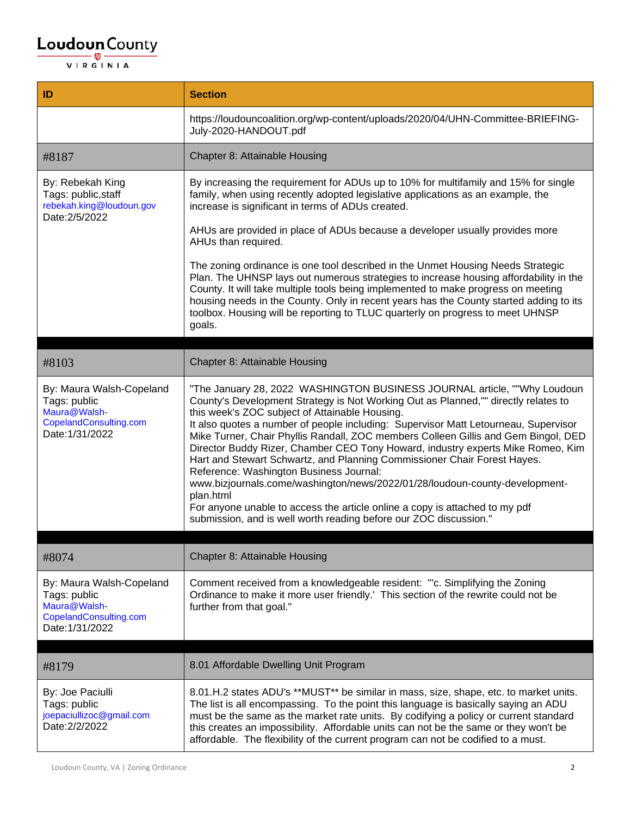| ID                                                                                                    | <b>Section</b>                                                                                                                                                                                                                                                                                                                                                                                                                                                                                                                                                                                                                                                                                                                                                                                                                                          |
|-------------------------------------------------------------------------------------------------------|---------------------------------------------------------------------------------------------------------------------------------------------------------------------------------------------------------------------------------------------------------------------------------------------------------------------------------------------------------------------------------------------------------------------------------------------------------------------------------------------------------------------------------------------------------------------------------------------------------------------------------------------------------------------------------------------------------------------------------------------------------------------------------------------------------------------------------------------------------|
|                                                                                                       | https://loudouncoalition.org/wp-content/uploads/2020/04/UHN-Committee-BRIEFING-<br>July-2020-HANDOUT.pdf                                                                                                                                                                                                                                                                                                                                                                                                                                                                                                                                                                                                                                                                                                                                                |
| #8187                                                                                                 | Chapter 8: Attainable Housing                                                                                                                                                                                                                                                                                                                                                                                                                                                                                                                                                                                                                                                                                                                                                                                                                           |
| By: Rebekah King<br>Tags: public, staff<br>rebekah.king@loudoun.gov<br>Date: 2/5/2022                 | By increasing the requirement for ADUs up to 10% for multifamily and 15% for single<br>family, when using recently adopted legislative applications as an example, the<br>increase is significant in terms of ADUs created.                                                                                                                                                                                                                                                                                                                                                                                                                                                                                                                                                                                                                             |
|                                                                                                       | AHUs are provided in place of ADUs because a developer usually provides more<br>AHUs than required.                                                                                                                                                                                                                                                                                                                                                                                                                                                                                                                                                                                                                                                                                                                                                     |
|                                                                                                       | The zoning ordinance is one tool described in the Unmet Housing Needs Strategic<br>Plan. The UHNSP lays out numerous strategies to increase housing affordability in the<br>County. It will take multiple tools being implemented to make progress on meeting<br>housing needs in the County. Only in recent years has the County started adding to its<br>toolbox. Housing will be reporting to TLUC quarterly on progress to meet UHNSP<br>goals.                                                                                                                                                                                                                                                                                                                                                                                                     |
| #8103                                                                                                 | Chapter 8: Attainable Housing                                                                                                                                                                                                                                                                                                                                                                                                                                                                                                                                                                                                                                                                                                                                                                                                                           |
| By: Maura Walsh-Copeland<br>Tags: public<br>Maura@Walsh-<br>CopelandConsulting.com<br>Date: 1/31/2022 | "The January 28, 2022 WASHINGTON BUSINESS JOURNAL article, ""Why Loudoun<br>County's Development Strategy is Not Working Out as Planned,"" directly relates to<br>this week's ZOC subject of Attainable Housing.<br>It also quotes a number of people including: Supervisor Matt Letourneau, Supervisor<br>Mike Turner, Chair Phyllis Randall, ZOC members Colleen Gillis and Gem Bingol, DED<br>Director Buddy Rizer, Chamber CEO Tony Howard, industry experts Mike Romeo, Kim<br>Hart and Stewart Schwartz, and Planning Commissioner Chair Forest Hayes.<br>Reference: Washington Business Journal:<br>www.bizjournals.come/washington/news/2022/01/28/loudoun-county-development-<br>plan.html<br>For anyone unable to access the article online a copy is attached to my pdf<br>submission, and is well worth reading before our ZOC discussion." |
| #8074                                                                                                 | Chapter 8: Attainable Housing                                                                                                                                                                                                                                                                                                                                                                                                                                                                                                                                                                                                                                                                                                                                                                                                                           |
| By: Maura Walsh-Copeland<br>Tags: public<br>Maura@Walsh-<br>CopelandConsulting.com<br>Date: 1/31/2022 | Comment received from a knowledgeable resident: "c. Simplifying the Zoning<br>Ordinance to make it more user friendly.' This section of the rewrite could not be<br>further from that goal."                                                                                                                                                                                                                                                                                                                                                                                                                                                                                                                                                                                                                                                            |
|                                                                                                       |                                                                                                                                                                                                                                                                                                                                                                                                                                                                                                                                                                                                                                                                                                                                                                                                                                                         |
| #8179                                                                                                 | 8.01 Affordable Dwelling Unit Program                                                                                                                                                                                                                                                                                                                                                                                                                                                                                                                                                                                                                                                                                                                                                                                                                   |
| By: Joe Paciulli<br>Tags: public<br>joepaciullizoc@gmail.com<br>Date: 2/2/2022                        | 8.01.H.2 states ADU's **MUST** be similar in mass, size, shape, etc. to market units.<br>The list is all encompassing. To the point this language is basically saying an ADU<br>must be the same as the market rate units. By codifying a policy or current standard<br>this creates an impossibility. Affordable units can not be the same or they won't be<br>affordable. The flexibility of the current program can not be codified to a must.                                                                                                                                                                                                                                                                                                                                                                                                       |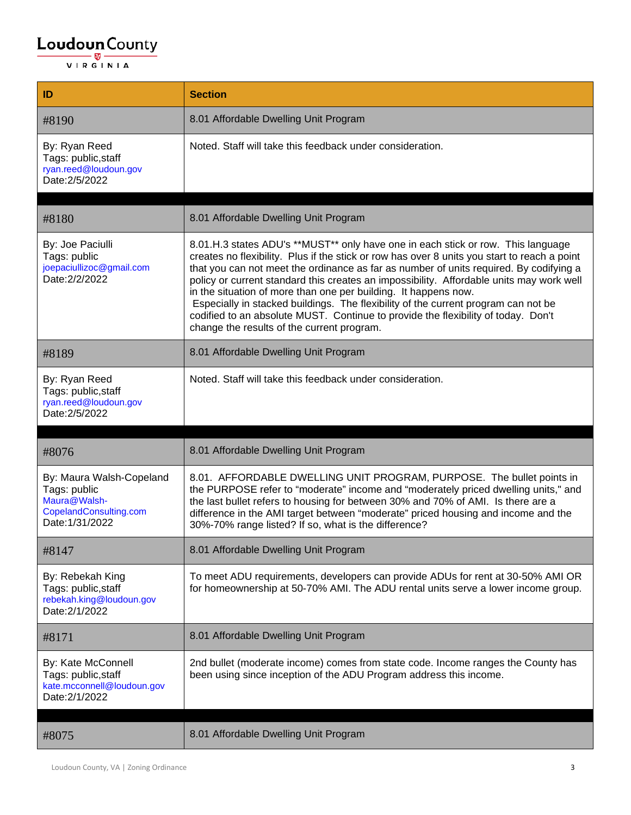| ID                                                                                                    | <b>Section</b>                                                                                                                                                                                                                                                                                                                                                                                                                                                                                                                                                                                                                                                     |
|-------------------------------------------------------------------------------------------------------|--------------------------------------------------------------------------------------------------------------------------------------------------------------------------------------------------------------------------------------------------------------------------------------------------------------------------------------------------------------------------------------------------------------------------------------------------------------------------------------------------------------------------------------------------------------------------------------------------------------------------------------------------------------------|
| #8190                                                                                                 | 8.01 Affordable Dwelling Unit Program                                                                                                                                                                                                                                                                                                                                                                                                                                                                                                                                                                                                                              |
| By: Ryan Reed<br>Tags: public, staff<br>ryan.reed@loudoun.gov<br>Date: 2/5/2022                       | Noted. Staff will take this feedback under consideration.                                                                                                                                                                                                                                                                                                                                                                                                                                                                                                                                                                                                          |
|                                                                                                       |                                                                                                                                                                                                                                                                                                                                                                                                                                                                                                                                                                                                                                                                    |
| #8180                                                                                                 | 8.01 Affordable Dwelling Unit Program                                                                                                                                                                                                                                                                                                                                                                                                                                                                                                                                                                                                                              |
| By: Joe Paciulli<br>Tags: public<br>joepaciullizoc@gmail.com<br>Date: 2/2/2022                        | 8.01.H.3 states ADU's **MUST** only have one in each stick or row. This language<br>creates no flexibility. Plus if the stick or row has over 8 units you start to reach a point<br>that you can not meet the ordinance as far as number of units required. By codifying a<br>policy or current standard this creates an impossibility. Affordable units may work well<br>in the situation of more than one per building. It happens now.<br>Especially in stacked buildings. The flexibility of the current program can not be<br>codified to an absolute MUST. Continue to provide the flexibility of today. Don't<br>change the results of the current program. |
| #8189                                                                                                 | 8.01 Affordable Dwelling Unit Program                                                                                                                                                                                                                                                                                                                                                                                                                                                                                                                                                                                                                              |
| By: Ryan Reed<br>Tags: public, staff<br>ryan.reed@loudoun.gov<br>Date: 2/5/2022                       | Noted. Staff will take this feedback under consideration.                                                                                                                                                                                                                                                                                                                                                                                                                                                                                                                                                                                                          |
|                                                                                                       |                                                                                                                                                                                                                                                                                                                                                                                                                                                                                                                                                                                                                                                                    |
| #8076                                                                                                 | 8.01 Affordable Dwelling Unit Program                                                                                                                                                                                                                                                                                                                                                                                                                                                                                                                                                                                                                              |
| By: Maura Walsh-Copeland<br>Tags: public<br>Maura@Walsh-<br>CopelandConsulting.com<br>Date: 1/31/2022 | 8.01. AFFORDABLE DWELLING UNIT PROGRAM, PURPOSE. The bullet points in<br>the PURPOSE refer to "moderate" income and "moderately priced dwelling units," and<br>the last bullet refers to housing for between 30% and 70% of AMI. Is there are a<br>difference in the AMI target between "moderate" priced housing and income and the<br>30%-70% range listed? If so, what is the difference?                                                                                                                                                                                                                                                                       |
| #8147                                                                                                 | 8.01 Affordable Dwelling Unit Program                                                                                                                                                                                                                                                                                                                                                                                                                                                                                                                                                                                                                              |
| By: Rebekah King<br>Tags: public, staff<br>rebekah.king@loudoun.gov<br>Date: 2/1/2022                 | To meet ADU requirements, developers can provide ADUs for rent at 30-50% AMI OR<br>for homeownership at 50-70% AMI. The ADU rental units serve a lower income group.                                                                                                                                                                                                                                                                                                                                                                                                                                                                                               |
| #8171                                                                                                 | 8.01 Affordable Dwelling Unit Program                                                                                                                                                                                                                                                                                                                                                                                                                                                                                                                                                                                                                              |
| By: Kate McConnell<br>Tags: public, staff<br>kate.mcconnell@loudoun.gov<br>Date: 2/1/2022             | 2nd bullet (moderate income) comes from state code. Income ranges the County has<br>been using since inception of the ADU Program address this income.                                                                                                                                                                                                                                                                                                                                                                                                                                                                                                             |
| #8075                                                                                                 | 8.01 Affordable Dwelling Unit Program                                                                                                                                                                                                                                                                                                                                                                                                                                                                                                                                                                                                                              |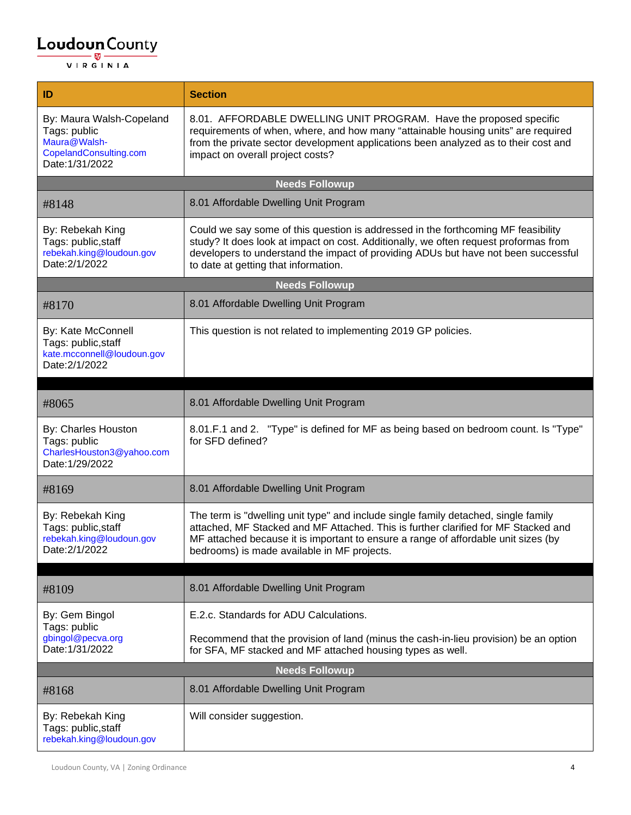| ID                                                                                                    | <b>Section</b>                                                                                                                                                                                                                                                                                                |
|-------------------------------------------------------------------------------------------------------|---------------------------------------------------------------------------------------------------------------------------------------------------------------------------------------------------------------------------------------------------------------------------------------------------------------|
| By: Maura Walsh-Copeland<br>Tags: public<br>Maura@Walsh-<br>CopelandConsulting.com<br>Date: 1/31/2022 | 8.01. AFFORDABLE DWELLING UNIT PROGRAM. Have the proposed specific<br>requirements of when, where, and how many "attainable housing units" are required<br>from the private sector development applications been analyzed as to their cost and<br>impact on overall project costs?                            |
|                                                                                                       | <b>Needs Followup</b>                                                                                                                                                                                                                                                                                         |
| #8148                                                                                                 | 8.01 Affordable Dwelling Unit Program                                                                                                                                                                                                                                                                         |
| By: Rebekah King<br>Tags: public, staff<br>rebekah.king@loudoun.gov<br>Date: 2/1/2022                 | Could we say some of this question is addressed in the forthcoming MF feasibility<br>study? It does look at impact on cost. Additionally, we often request proformas from<br>developers to understand the impact of providing ADUs but have not been successful<br>to date at getting that information.       |
|                                                                                                       | <b>Needs Followup</b>                                                                                                                                                                                                                                                                                         |
| #8170                                                                                                 | 8.01 Affordable Dwelling Unit Program                                                                                                                                                                                                                                                                         |
| By: Kate McConnell<br>Tags: public, staff<br>kate.mcconnell@loudoun.gov<br>Date: 2/1/2022             | This question is not related to implementing 2019 GP policies.                                                                                                                                                                                                                                                |
|                                                                                                       |                                                                                                                                                                                                                                                                                                               |
| #8065                                                                                                 | 8.01 Affordable Dwelling Unit Program                                                                                                                                                                                                                                                                         |
| By: Charles Houston<br>Tags: public<br>CharlesHouston3@yahoo.com<br>Date: 1/29/2022                   | 8.01.F.1 and 2. "Type" is defined for MF as being based on bedroom count. Is "Type"<br>for SFD defined?                                                                                                                                                                                                       |
| #8169                                                                                                 | 8.01 Affordable Dwelling Unit Program                                                                                                                                                                                                                                                                         |
| By: Rebekah King<br>Tags: public, staff<br>rebekah.king@loudoun.gov<br>Date: 2/1/2022                 | The term is "dwelling unit type" and include single family detached, single family<br>attached, MF Stacked and MF Attached. This is further clarified for MF Stacked and<br>MF attached because it is important to ensure a range of affordable unit sizes (by<br>bedrooms) is made available in MF projects. |
|                                                                                                       |                                                                                                                                                                                                                                                                                                               |
| #8109                                                                                                 | 8.01 Affordable Dwelling Unit Program                                                                                                                                                                                                                                                                         |
| By: Gem Bingol<br>Tags: public                                                                        | E.2.c. Standards for ADU Calculations.                                                                                                                                                                                                                                                                        |
| gbingol@pecva.org<br>Date: 1/31/2022                                                                  | Recommend that the provision of land (minus the cash-in-lieu provision) be an option<br>for SFA, MF stacked and MF attached housing types as well.                                                                                                                                                            |
|                                                                                                       | <b>Needs Followup</b>                                                                                                                                                                                                                                                                                         |
| #8168                                                                                                 | 8.01 Affordable Dwelling Unit Program                                                                                                                                                                                                                                                                         |
| By: Rebekah King<br>Tags: public, staff<br>rebekah.king@loudoun.gov                                   | Will consider suggestion.                                                                                                                                                                                                                                                                                     |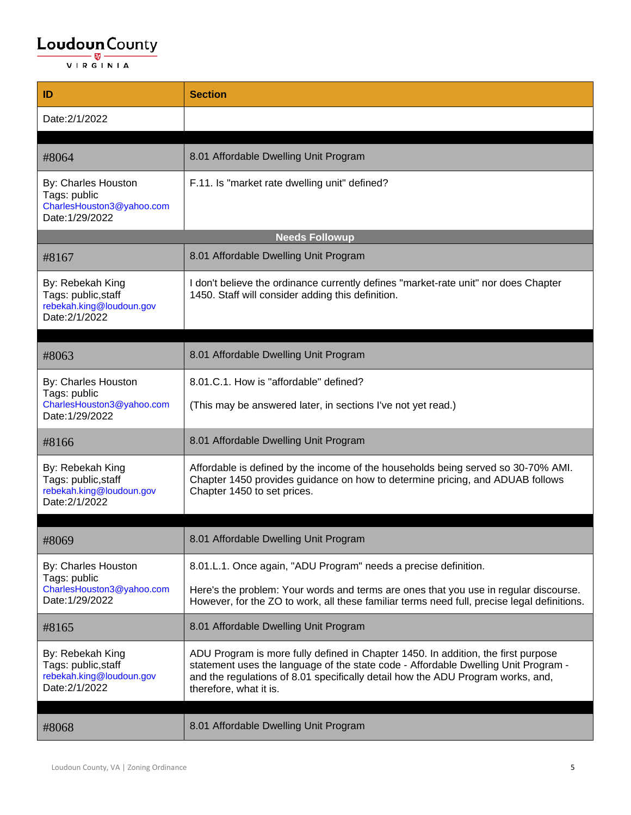| ID                                                                                    | <b>Section</b>                                                                                                                                                                                                                                                                       |
|---------------------------------------------------------------------------------------|--------------------------------------------------------------------------------------------------------------------------------------------------------------------------------------------------------------------------------------------------------------------------------------|
| Date: 2/1/2022                                                                        |                                                                                                                                                                                                                                                                                      |
|                                                                                       |                                                                                                                                                                                                                                                                                      |
| #8064                                                                                 | 8.01 Affordable Dwelling Unit Program                                                                                                                                                                                                                                                |
| By: Charles Houston<br>Tags: public<br>CharlesHouston3@yahoo.com<br>Date: 1/29/2022   | F.11. Is "market rate dwelling unit" defined?                                                                                                                                                                                                                                        |
|                                                                                       | <b>Needs Followup</b>                                                                                                                                                                                                                                                                |
| #8167                                                                                 | 8.01 Affordable Dwelling Unit Program                                                                                                                                                                                                                                                |
| By: Rebekah King<br>Tags: public, staff<br>rebekah.king@loudoun.gov<br>Date: 2/1/2022 | I don't believe the ordinance currently defines "market-rate unit" nor does Chapter<br>1450. Staff will consider adding this definition.                                                                                                                                             |
| #8063                                                                                 | 8.01 Affordable Dwelling Unit Program                                                                                                                                                                                                                                                |
| By: Charles Houston                                                                   | 8.01.C.1. How is "affordable" defined?                                                                                                                                                                                                                                               |
| Tags: public<br>CharlesHouston3@yahoo.com<br>Date: 1/29/2022                          | (This may be answered later, in sections I've not yet read.)                                                                                                                                                                                                                         |
| #8166                                                                                 | 8.01 Affordable Dwelling Unit Program                                                                                                                                                                                                                                                |
| By: Rebekah King<br>Tags: public, staff<br>rebekah.king@loudoun.gov<br>Date: 2/1/2022 | Affordable is defined by the income of the households being served so 30-70% AMI.<br>Chapter 1450 provides guidance on how to determine pricing, and ADUAB follows<br>Chapter 1450 to set prices.                                                                                    |
|                                                                                       |                                                                                                                                                                                                                                                                                      |
| #8069                                                                                 | 8.01 Affordable Dwelling Unit Program                                                                                                                                                                                                                                                |
| By: Charles Houston<br>Tags: public                                                   | 8.01.L.1. Once again, "ADU Program" needs a precise definition.                                                                                                                                                                                                                      |
| CharlesHouston3@yahoo.com<br>Date: 1/29/2022                                          | Here's the problem: Your words and terms are ones that you use in regular discourse.<br>However, for the ZO to work, all these familiar terms need full, precise legal definitions.                                                                                                  |
| #8165                                                                                 | 8.01 Affordable Dwelling Unit Program                                                                                                                                                                                                                                                |
| By: Rebekah King<br>Tags: public, staff<br>rebekah.king@loudoun.gov<br>Date: 2/1/2022 | ADU Program is more fully defined in Chapter 1450. In addition, the first purpose<br>statement uses the language of the state code - Affordable Dwelling Unit Program -<br>and the regulations of 8.01 specifically detail how the ADU Program works, and,<br>therefore, what it is. |
| #8068                                                                                 | 8.01 Affordable Dwelling Unit Program                                                                                                                                                                                                                                                |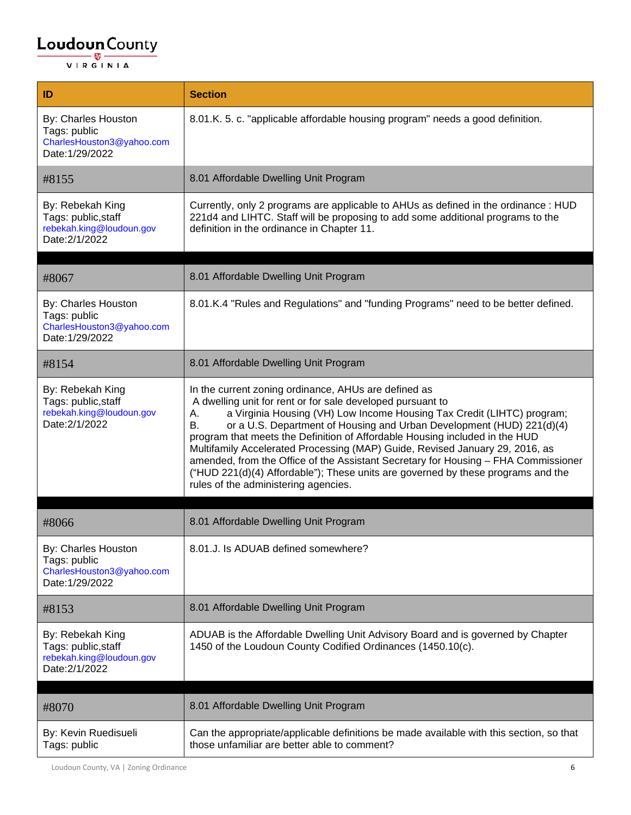| ID                                                                                    | <b>Section</b>                                                                                                                                                                                                                                                                                                                                                                                                                                                                                                                                                                                                                                                     |
|---------------------------------------------------------------------------------------|--------------------------------------------------------------------------------------------------------------------------------------------------------------------------------------------------------------------------------------------------------------------------------------------------------------------------------------------------------------------------------------------------------------------------------------------------------------------------------------------------------------------------------------------------------------------------------------------------------------------------------------------------------------------|
| By: Charles Houston<br>Tags: public<br>CharlesHouston3@yahoo.com<br>Date: 1/29/2022   | 8.01.K. 5. c. "applicable affordable housing program" needs a good definition.                                                                                                                                                                                                                                                                                                                                                                                                                                                                                                                                                                                     |
| #8155                                                                                 | 8.01 Affordable Dwelling Unit Program                                                                                                                                                                                                                                                                                                                                                                                                                                                                                                                                                                                                                              |
| By: Rebekah King<br>Tags: public, staff<br>rebekah.king@loudoun.gov<br>Date: 2/1/2022 | Currently, only 2 programs are applicable to AHUs as defined in the ordinance : HUD<br>221d4 and LIHTC. Staff will be proposing to add some additional programs to the<br>definition in the ordinance in Chapter 11.                                                                                                                                                                                                                                                                                                                                                                                                                                               |
| #8067                                                                                 | 8.01 Affordable Dwelling Unit Program                                                                                                                                                                                                                                                                                                                                                                                                                                                                                                                                                                                                                              |
| By: Charles Houston<br>Tags: public<br>CharlesHouston3@yahoo.com<br>Date: 1/29/2022   | 8.01.K.4 "Rules and Regulations" and "funding Programs" need to be better defined.                                                                                                                                                                                                                                                                                                                                                                                                                                                                                                                                                                                 |
| #8154                                                                                 | 8.01 Affordable Dwelling Unit Program                                                                                                                                                                                                                                                                                                                                                                                                                                                                                                                                                                                                                              |
| By: Rebekah King<br>Tags: public, staff<br>rebekah.king@loudoun.gov<br>Date: 2/1/2022 | In the current zoning ordinance, AHUs are defined as<br>A dwelling unit for rent or for sale developed pursuant to<br>a Virginia Housing (VH) Low Income Housing Tax Credit (LIHTC) program;<br>А.<br>В.<br>or a U.S. Department of Housing and Urban Development (HUD) 221(d)(4)<br>program that meets the Definition of Affordable Housing included in the HUD<br>Multifamily Accelerated Processing (MAP) Guide, Revised January 29, 2016, as<br>amended, from the Office of the Assistant Secretary for Housing - FHA Commissioner<br>("HUD 221(d)(4) Affordable"); These units are governed by these programs and the<br>rules of the administering agencies. |
| #8066                                                                                 | 8.01 Affordable Dwelling Unit Program                                                                                                                                                                                                                                                                                                                                                                                                                                                                                                                                                                                                                              |
| By: Charles Houston<br>Tags: public<br>CharlesHouston3@yahoo.com<br>Date: 1/29/2022   | 8.01.J. Is ADUAB defined somewhere?                                                                                                                                                                                                                                                                                                                                                                                                                                                                                                                                                                                                                                |
| #8153                                                                                 | 8.01 Affordable Dwelling Unit Program                                                                                                                                                                                                                                                                                                                                                                                                                                                                                                                                                                                                                              |
| By: Rebekah King<br>Tags: public, staff<br>rebekah.king@loudoun.gov<br>Date: 2/1/2022 | ADUAB is the Affordable Dwelling Unit Advisory Board and is governed by Chapter<br>1450 of the Loudoun County Codified Ordinances (1450.10(c).                                                                                                                                                                                                                                                                                                                                                                                                                                                                                                                     |
| #8070                                                                                 | 8.01 Affordable Dwelling Unit Program                                                                                                                                                                                                                                                                                                                                                                                                                                                                                                                                                                                                                              |
| By: Kevin Ruedisueli<br>Tags: public                                                  | Can the appropriate/applicable definitions be made available with this section, so that<br>those unfamiliar are better able to comment?                                                                                                                                                                                                                                                                                                                                                                                                                                                                                                                            |

Loudoun County, VA | Zoning Ordinance 6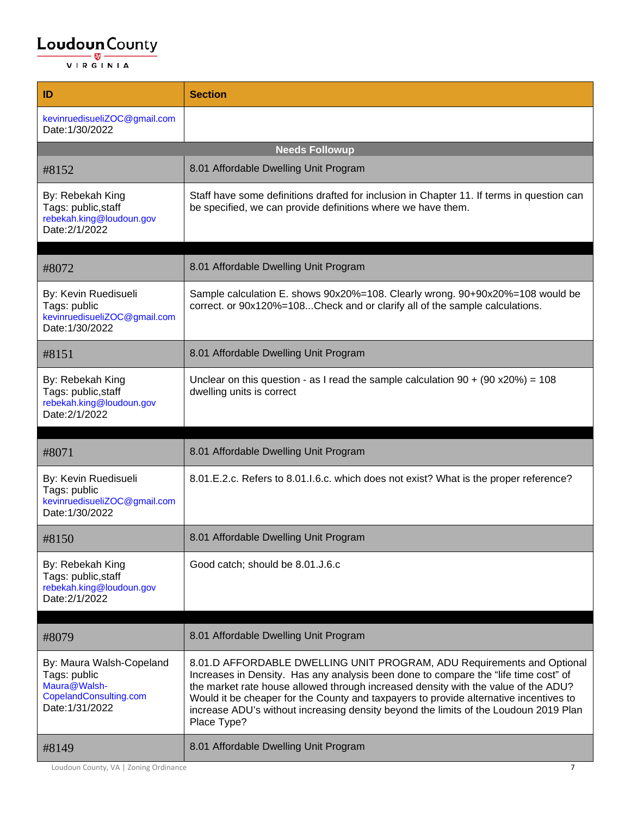| ID                                                                                                                      | <b>Section</b>                                                                                                                                                                                                                                                                                                                                                                                                                                                                                                                        |
|-------------------------------------------------------------------------------------------------------------------------|---------------------------------------------------------------------------------------------------------------------------------------------------------------------------------------------------------------------------------------------------------------------------------------------------------------------------------------------------------------------------------------------------------------------------------------------------------------------------------------------------------------------------------------|
| kevinruedisueliZOC@gmail.com<br>Date: 1/30/2022                                                                         |                                                                                                                                                                                                                                                                                                                                                                                                                                                                                                                                       |
|                                                                                                                         | <b>Needs Followup</b>                                                                                                                                                                                                                                                                                                                                                                                                                                                                                                                 |
| #8152                                                                                                                   | 8.01 Affordable Dwelling Unit Program                                                                                                                                                                                                                                                                                                                                                                                                                                                                                                 |
| By: Rebekah King<br>Tags: public, staff<br>rebekah.king@loudoun.gov<br>Date: 2/1/2022                                   | Staff have some definitions drafted for inclusion in Chapter 11. If terms in question can<br>be specified, we can provide definitions where we have them.                                                                                                                                                                                                                                                                                                                                                                             |
| #8072                                                                                                                   | 8.01 Affordable Dwelling Unit Program                                                                                                                                                                                                                                                                                                                                                                                                                                                                                                 |
| By: Kevin Ruedisueli<br>Tags: public<br>kevinruedisueliZOC@gmail.com<br>Date: 1/30/2022                                 | Sample calculation E. shows 90x20%=108. Clearly wrong. 90+90x20%=108 would be<br>correct. or 90x120%=108Check and or clarify all of the sample calculations.                                                                                                                                                                                                                                                                                                                                                                          |
| #8151                                                                                                                   | 8.01 Affordable Dwelling Unit Program                                                                                                                                                                                                                                                                                                                                                                                                                                                                                                 |
| By: Rebekah King<br>Tags: public, staff<br>rebekah.king@loudoun.gov<br>Date: 2/1/2022                                   | Unclear on this question - as I read the sample calculation $90 + (90 \times 20\%) = 108$<br>dwelling units is correct                                                                                                                                                                                                                                                                                                                                                                                                                |
| #8071                                                                                                                   | 8.01 Affordable Dwelling Unit Program                                                                                                                                                                                                                                                                                                                                                                                                                                                                                                 |
|                                                                                                                         |                                                                                                                                                                                                                                                                                                                                                                                                                                                                                                                                       |
| By: Kevin Ruedisueli<br>Tags: public<br>kevinruedisueliZOC@gmail.com<br>Date: 1/30/2022                                 | 8.01.E.2.c. Refers to 8.01.I.6.c. which does not exist? What is the proper reference?                                                                                                                                                                                                                                                                                                                                                                                                                                                 |
| #8150                                                                                                                   | 8.01 Affordable Dwelling Unit Program                                                                                                                                                                                                                                                                                                                                                                                                                                                                                                 |
| By: Rebekah King<br>Tags: public, staff<br>rebekah.king@loudoun.gov<br>Date: 2/1/2022                                   | Good catch; should be 8.01.J.6.c                                                                                                                                                                                                                                                                                                                                                                                                                                                                                                      |
|                                                                                                                         |                                                                                                                                                                                                                                                                                                                                                                                                                                                                                                                                       |
| #8079<br>By: Maura Walsh-Copeland<br>Tags: public<br>Maura@Walsh-<br>CopelandConsulting.com<br>Date: 1/31/2022<br>#8149 | 8.01 Affordable Dwelling Unit Program<br>8.01.D AFFORDABLE DWELLING UNIT PROGRAM, ADU Requirements and Optional<br>Increases in Density. Has any analysis been done to compare the "life time cost" of<br>the market rate house allowed through increased density with the value of the ADU?<br>Would it be cheaper for the County and taxpayers to provide alternative incentives to<br>increase ADU's without increasing density beyond the limits of the Loudoun 2019 Plan<br>Place Type?<br>8.01 Affordable Dwelling Unit Program |

Loudoun County, VA | Zoning Ordinance 7 7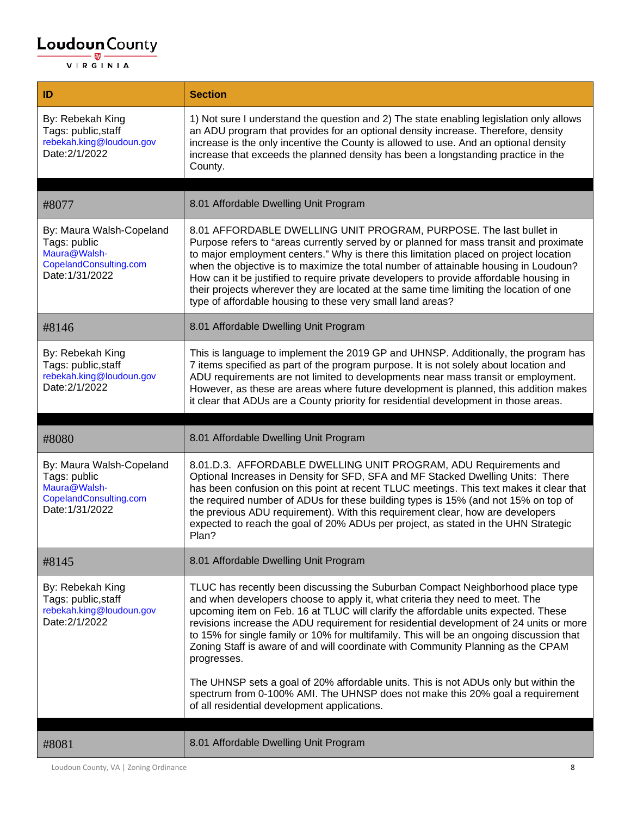# $\underbrace{\textbf{Loudoun}\xspace}_{\text{VIR GINIA}}\textbf{County}}$

| ID                                                                                                    | <b>Section</b>                                                                                                                                                                                                                                                                                                                                                                                                                                                                                                                                                                                                                                                                                                                                                        |
|-------------------------------------------------------------------------------------------------------|-----------------------------------------------------------------------------------------------------------------------------------------------------------------------------------------------------------------------------------------------------------------------------------------------------------------------------------------------------------------------------------------------------------------------------------------------------------------------------------------------------------------------------------------------------------------------------------------------------------------------------------------------------------------------------------------------------------------------------------------------------------------------|
| By: Rebekah King<br>Tags: public, staff<br>rebekah.king@loudoun.gov<br>Date: 2/1/2022                 | 1) Not sure I understand the question and 2) The state enabling legislation only allows<br>an ADU program that provides for an optional density increase. Therefore, density<br>increase is the only incentive the County is allowed to use. And an optional density<br>increase that exceeds the planned density has been a longstanding practice in the<br>County.                                                                                                                                                                                                                                                                                                                                                                                                  |
|                                                                                                       |                                                                                                                                                                                                                                                                                                                                                                                                                                                                                                                                                                                                                                                                                                                                                                       |
| #8077                                                                                                 | 8.01 Affordable Dwelling Unit Program                                                                                                                                                                                                                                                                                                                                                                                                                                                                                                                                                                                                                                                                                                                                 |
| By: Maura Walsh-Copeland<br>Tags: public<br>Maura@Walsh-<br>CopelandConsulting.com<br>Date: 1/31/2022 | 8.01 AFFORDABLE DWELLING UNIT PROGRAM, PURPOSE. The last bullet in<br>Purpose refers to "areas currently served by or planned for mass transit and proximate<br>to major employment centers." Why is there this limitation placed on project location<br>when the objective is to maximize the total number of attainable housing in Loudoun?<br>How can it be justified to require private developers to provide affordable housing in<br>their projects wherever they are located at the same time limiting the location of one<br>type of affordable housing to these very small land areas?                                                                                                                                                                       |
| #8146                                                                                                 | 8.01 Affordable Dwelling Unit Program                                                                                                                                                                                                                                                                                                                                                                                                                                                                                                                                                                                                                                                                                                                                 |
| By: Rebekah King<br>Tags: public, staff<br>rebekah.king@loudoun.gov<br>Date: 2/1/2022                 | This is language to implement the 2019 GP and UHNSP. Additionally, the program has<br>7 items specified as part of the program purpose. It is not solely about location and<br>ADU requirements are not limited to developments near mass transit or employment.<br>However, as these are areas where future development is planned, this addition makes<br>it clear that ADUs are a County priority for residential development in those areas.                                                                                                                                                                                                                                                                                                                      |
|                                                                                                       |                                                                                                                                                                                                                                                                                                                                                                                                                                                                                                                                                                                                                                                                                                                                                                       |
|                                                                                                       |                                                                                                                                                                                                                                                                                                                                                                                                                                                                                                                                                                                                                                                                                                                                                                       |
| #8080                                                                                                 | 8.01 Affordable Dwelling Unit Program                                                                                                                                                                                                                                                                                                                                                                                                                                                                                                                                                                                                                                                                                                                                 |
| By: Maura Walsh-Copeland<br>Tags: public<br>Maura@Walsh-<br>CopelandConsulting.com<br>Date: 1/31/2022 | 8.01.D.3. AFFORDABLE DWELLING UNIT PROGRAM, ADU Requirements and<br>Optional Increases in Density for SFD, SFA and MF Stacked Dwelling Units: There<br>has been confusion on this point at recent TLUC meetings. This text makes it clear that<br>the required number of ADUs for these building types is 15% (and not 15% on top of<br>the previous ADU requirement). With this requirement clear, how are developers<br>expected to reach the goal of 20% ADUs per project, as stated in the UHN Strategic<br>Plan?                                                                                                                                                                                                                                                 |
| #8145                                                                                                 | 8.01 Affordable Dwelling Unit Program                                                                                                                                                                                                                                                                                                                                                                                                                                                                                                                                                                                                                                                                                                                                 |
| By: Rebekah King<br>Tags: public, staff<br>rebekah.king@loudoun.gov<br>Date: 2/1/2022                 | TLUC has recently been discussing the Suburban Compact Neighborhood place type<br>and when developers choose to apply it, what criteria they need to meet. The<br>upcoming item on Feb. 16 at TLUC will clarify the affordable units expected. These<br>revisions increase the ADU requirement for residential development of 24 units or more<br>to 15% for single family or 10% for multifamily. This will be an ongoing discussion that<br>Zoning Staff is aware of and will coordinate with Community Planning as the CPAM<br>progresses.<br>The UHNSP sets a goal of 20% affordable units. This is not ADUs only but within the<br>spectrum from 0-100% AMI. The UHNSP does not make this 20% goal a requirement<br>of all residential development applications. |

Loudoun County, VA | Zoning Ordinance 8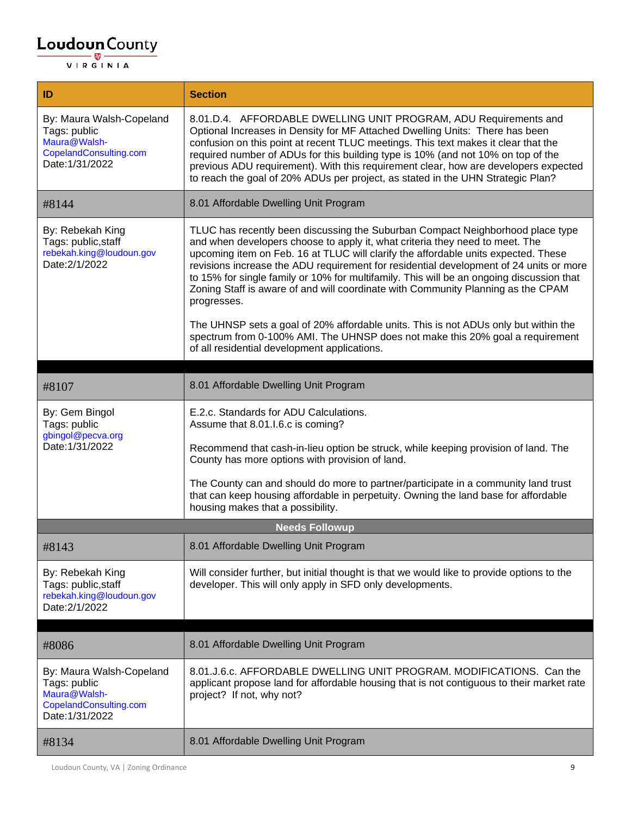| ID                                                                                                    | <b>Section</b>                                                                                                                                                                                                                                                                                                                                                                                                                                                                                                                                |
|-------------------------------------------------------------------------------------------------------|-----------------------------------------------------------------------------------------------------------------------------------------------------------------------------------------------------------------------------------------------------------------------------------------------------------------------------------------------------------------------------------------------------------------------------------------------------------------------------------------------------------------------------------------------|
| By: Maura Walsh-Copeland<br>Tags: public<br>Maura@Walsh-<br>CopelandConsulting.com<br>Date: 1/31/2022 | 8.01.D.4. AFFORDABLE DWELLING UNIT PROGRAM, ADU Requirements and<br>Optional Increases in Density for MF Attached Dwelling Units: There has been<br>confusion on this point at recent TLUC meetings. This text makes it clear that the<br>required number of ADUs for this building type is 10% (and not 10% on top of the<br>previous ADU requirement). With this requirement clear, how are developers expected<br>to reach the goal of 20% ADUs per project, as stated in the UHN Strategic Plan?                                          |
| #8144                                                                                                 | 8.01 Affordable Dwelling Unit Program                                                                                                                                                                                                                                                                                                                                                                                                                                                                                                         |
| By: Rebekah King<br>Tags: public, staff<br>rebekah.king@loudoun.gov<br>Date: 2/1/2022                 | TLUC has recently been discussing the Suburban Compact Neighborhood place type<br>and when developers choose to apply it, what criteria they need to meet. The<br>upcoming item on Feb. 16 at TLUC will clarify the affordable units expected. These<br>revisions increase the ADU requirement for residential development of 24 units or more<br>to 15% for single family or 10% for multifamily. This will be an ongoing discussion that<br>Zoning Staff is aware of and will coordinate with Community Planning as the CPAM<br>progresses. |
|                                                                                                       | The UHNSP sets a goal of 20% affordable units. This is not ADUs only but within the<br>spectrum from 0-100% AMI. The UHNSP does not make this 20% goal a requirement<br>of all residential development applications.                                                                                                                                                                                                                                                                                                                          |
|                                                                                                       |                                                                                                                                                                                                                                                                                                                                                                                                                                                                                                                                               |
| #8107                                                                                                 | 8.01 Affordable Dwelling Unit Program                                                                                                                                                                                                                                                                                                                                                                                                                                                                                                         |
| By: Gem Bingol<br>Tags: public<br>gbingol@pecva.org                                                   | E.2.c. Standards for ADU Calculations.<br>Assume that 8.01.I.6.c is coming?                                                                                                                                                                                                                                                                                                                                                                                                                                                                   |
| Date: 1/31/2022                                                                                       | Recommend that cash-in-lieu option be struck, while keeping provision of land. The<br>County has more options with provision of land.                                                                                                                                                                                                                                                                                                                                                                                                         |
|                                                                                                       | The County can and should do more to partner/participate in a community land trust<br>that can keep housing affordable in perpetuity. Owning the land base for affordable<br>housing makes that a possibility.                                                                                                                                                                                                                                                                                                                                |
|                                                                                                       | <b>Needs Followup</b>                                                                                                                                                                                                                                                                                                                                                                                                                                                                                                                         |
| #8143                                                                                                 | 8.01 Affordable Dwelling Unit Program                                                                                                                                                                                                                                                                                                                                                                                                                                                                                                         |
| By: Rebekah King<br>Tags: public, staff<br>rebekah.king@loudoun.gov<br>Date: 2/1/2022                 | Will consider further, but initial thought is that we would like to provide options to the<br>developer. This will only apply in SFD only developments.                                                                                                                                                                                                                                                                                                                                                                                       |
| #8086                                                                                                 | 8.01 Affordable Dwelling Unit Program                                                                                                                                                                                                                                                                                                                                                                                                                                                                                                         |
| By: Maura Walsh-Copeland<br>Tags: public<br>Maura@Walsh-<br>CopelandConsulting.com<br>Date: 1/31/2022 | 8.01.J.6.c. AFFORDABLE DWELLING UNIT PROGRAM. MODIFICATIONS. Can the<br>applicant propose land for affordable housing that is not contiguous to their market rate<br>project? If not, why not?                                                                                                                                                                                                                                                                                                                                                |
| #8134                                                                                                 | 8.01 Affordable Dwelling Unit Program                                                                                                                                                                                                                                                                                                                                                                                                                                                                                                         |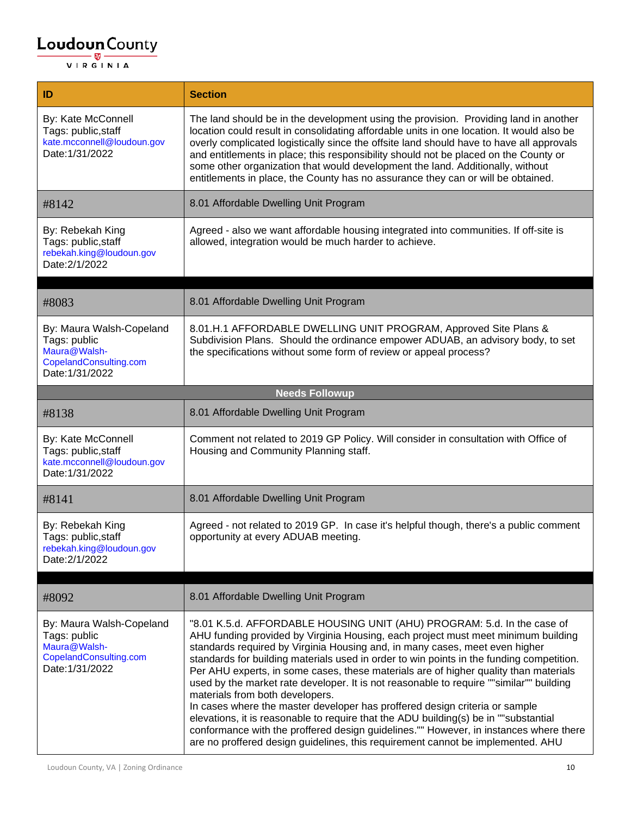| ID                                                                                                    | <b>Section</b>                                                                                                                                                                                                                                                                                                                                                                                                                                                                                                                                                                                                                                                                                                                                                                                                                                                                                                   |
|-------------------------------------------------------------------------------------------------------|------------------------------------------------------------------------------------------------------------------------------------------------------------------------------------------------------------------------------------------------------------------------------------------------------------------------------------------------------------------------------------------------------------------------------------------------------------------------------------------------------------------------------------------------------------------------------------------------------------------------------------------------------------------------------------------------------------------------------------------------------------------------------------------------------------------------------------------------------------------------------------------------------------------|
| By: Kate McConnell<br>Tags: public, staff<br>kate.mcconnell@loudoun.gov<br>Date: 1/31/2022            | The land should be in the development using the provision. Providing land in another<br>location could result in consolidating affordable units in one location. It would also be<br>overly complicated logistically since the offsite land should have to have all approvals<br>and entitlements in place; this responsibility should not be placed on the County or<br>some other organization that would development the land. Additionally, without<br>entitlements in place, the County has no assurance they can or will be obtained.                                                                                                                                                                                                                                                                                                                                                                      |
| #8142                                                                                                 | 8.01 Affordable Dwelling Unit Program                                                                                                                                                                                                                                                                                                                                                                                                                                                                                                                                                                                                                                                                                                                                                                                                                                                                            |
| By: Rebekah King<br>Tags: public, staff<br>rebekah.king@loudoun.gov<br>Date: 2/1/2022                 | Agreed - also we want affordable housing integrated into communities. If off-site is<br>allowed, integration would be much harder to achieve.                                                                                                                                                                                                                                                                                                                                                                                                                                                                                                                                                                                                                                                                                                                                                                    |
| #8083                                                                                                 | 8.01 Affordable Dwelling Unit Program                                                                                                                                                                                                                                                                                                                                                                                                                                                                                                                                                                                                                                                                                                                                                                                                                                                                            |
|                                                                                                       |                                                                                                                                                                                                                                                                                                                                                                                                                                                                                                                                                                                                                                                                                                                                                                                                                                                                                                                  |
| By: Maura Walsh-Copeland<br>Tags: public<br>Maura@Walsh-<br>CopelandConsulting.com<br>Date: 1/31/2022 | 8.01.H.1 AFFORDABLE DWELLING UNIT PROGRAM, Approved Site Plans &<br>Subdivision Plans. Should the ordinance empower ADUAB, an advisory body, to set<br>the specifications without some form of review or appeal process?                                                                                                                                                                                                                                                                                                                                                                                                                                                                                                                                                                                                                                                                                         |
|                                                                                                       | <b>Needs Followup</b>                                                                                                                                                                                                                                                                                                                                                                                                                                                                                                                                                                                                                                                                                                                                                                                                                                                                                            |
| #8138                                                                                                 | 8.01 Affordable Dwelling Unit Program                                                                                                                                                                                                                                                                                                                                                                                                                                                                                                                                                                                                                                                                                                                                                                                                                                                                            |
| By: Kate McConnell<br>Tags: public, staff<br>kate.mcconnell@loudoun.gov<br>Date: 1/31/2022            | Comment not related to 2019 GP Policy. Will consider in consultation with Office of<br>Housing and Community Planning staff.                                                                                                                                                                                                                                                                                                                                                                                                                                                                                                                                                                                                                                                                                                                                                                                     |
| #8141                                                                                                 | 8.01 Affordable Dwelling Unit Program                                                                                                                                                                                                                                                                                                                                                                                                                                                                                                                                                                                                                                                                                                                                                                                                                                                                            |
| By: Rebekah King<br>Tags: public, staff<br>rebekah.king@loudoun.gov<br>Date: 2/1/2022                 | Agreed - not related to 2019 GP. In case it's helpful though, there's a public comment<br>opportunity at every ADUAB meeting.                                                                                                                                                                                                                                                                                                                                                                                                                                                                                                                                                                                                                                                                                                                                                                                    |
| #8092                                                                                                 | 8.01 Affordable Dwelling Unit Program                                                                                                                                                                                                                                                                                                                                                                                                                                                                                                                                                                                                                                                                                                                                                                                                                                                                            |
| By: Maura Walsh-Copeland<br>Tags: public<br>Maura@Walsh-<br>CopelandConsulting.com<br>Date: 1/31/2022 | "8.01 K.5.d. AFFORDABLE HOUSING UNIT (AHU) PROGRAM: 5.d. In the case of<br>AHU funding provided by Virginia Housing, each project must meet minimum building<br>standards required by Virginia Housing and, in many cases, meet even higher<br>standards for building materials used in order to win points in the funding competition.<br>Per AHU experts, in some cases, these materials are of higher quality than materials<br>used by the market rate developer. It is not reasonable to require ""similar"" building<br>materials from both developers.<br>In cases where the master developer has proffered design criteria or sample<br>elevations, it is reasonable to require that the ADU building(s) be in ""substantial<br>conformance with the proffered design guidelines."" However, in instances where there<br>are no proffered design guidelines, this requirement cannot be implemented. AHU |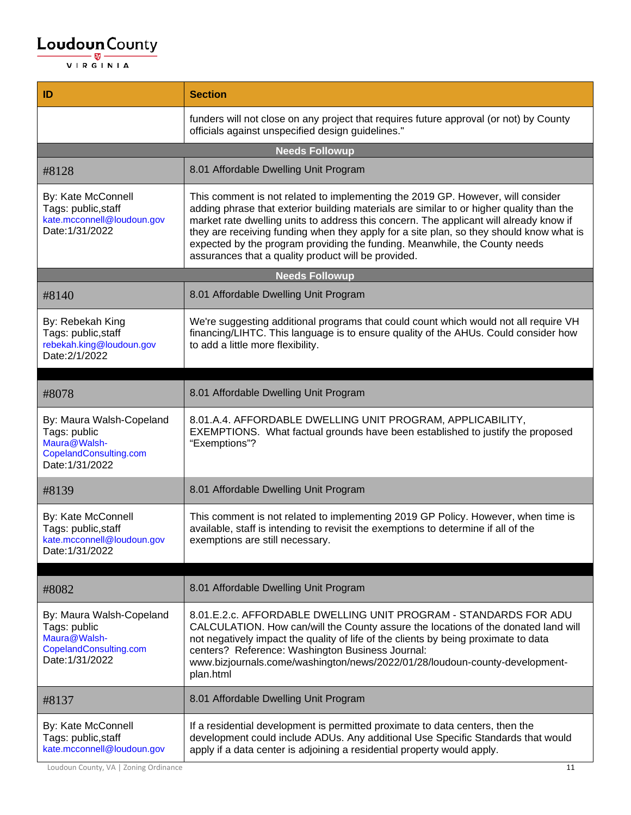| ID                                                                                                    | <b>Section</b>                                                                                                                                                                                                                                                                                                                                                                                                                                                                                        |
|-------------------------------------------------------------------------------------------------------|-------------------------------------------------------------------------------------------------------------------------------------------------------------------------------------------------------------------------------------------------------------------------------------------------------------------------------------------------------------------------------------------------------------------------------------------------------------------------------------------------------|
|                                                                                                       | funders will not close on any project that requires future approval (or not) by County<br>officials against unspecified design guidelines."                                                                                                                                                                                                                                                                                                                                                           |
|                                                                                                       | <b>Needs Followup</b>                                                                                                                                                                                                                                                                                                                                                                                                                                                                                 |
| #8128                                                                                                 | 8.01 Affordable Dwelling Unit Program                                                                                                                                                                                                                                                                                                                                                                                                                                                                 |
| By: Kate McConnell<br>Tags: public, staff<br>kate.mcconnell@loudoun.gov<br>Date: 1/31/2022            | This comment is not related to implementing the 2019 GP. However, will consider<br>adding phrase that exterior building materials are similar to or higher quality than the<br>market rate dwelling units to address this concern. The applicant will already know if<br>they are receiving funding when they apply for a site plan, so they should know what is<br>expected by the program providing the funding. Meanwhile, the County needs<br>assurances that a quality product will be provided. |
|                                                                                                       | <b>Needs Followup</b>                                                                                                                                                                                                                                                                                                                                                                                                                                                                                 |
| #8140                                                                                                 | 8.01 Affordable Dwelling Unit Program                                                                                                                                                                                                                                                                                                                                                                                                                                                                 |
| By: Rebekah King<br>Tags: public, staff<br>rebekah.king@loudoun.gov<br>Date: 2/1/2022                 | We're suggesting additional programs that could count which would not all require VH<br>financing/LIHTC. This language is to ensure quality of the AHUs. Could consider how<br>to add a little more flexibility.                                                                                                                                                                                                                                                                                      |
| #8078                                                                                                 | 8.01 Affordable Dwelling Unit Program                                                                                                                                                                                                                                                                                                                                                                                                                                                                 |
| By: Maura Walsh-Copeland<br>Tags: public<br>Maura@Walsh-<br>CopelandConsulting.com<br>Date: 1/31/2022 | 8.01.A.4. AFFORDABLE DWELLING UNIT PROGRAM, APPLICABILITY,<br>EXEMPTIONS. What factual grounds have been established to justify the proposed<br>"Exemptions"?                                                                                                                                                                                                                                                                                                                                         |
| #8139                                                                                                 | 8.01 Affordable Dwelling Unit Program                                                                                                                                                                                                                                                                                                                                                                                                                                                                 |
| By: Kate McConnell<br>Tags: public, staff<br>kate.mcconnell@loudoun.gov<br>Date: 1/31/2022            | This comment is not related to implementing 2019 GP Policy. However, when time is<br>available, staff is intending to revisit the exemptions to determine if all of the<br>exemptions are still necessary.                                                                                                                                                                                                                                                                                            |
|                                                                                                       |                                                                                                                                                                                                                                                                                                                                                                                                                                                                                                       |
| #8082                                                                                                 | 8.01 Affordable Dwelling Unit Program                                                                                                                                                                                                                                                                                                                                                                                                                                                                 |
| By: Maura Walsh-Copeland<br>Tags: public<br>Maura@Walsh-<br>CopelandConsulting.com<br>Date: 1/31/2022 | 8.01.E.2.c. AFFORDABLE DWELLING UNIT PROGRAM - STANDARDS FOR ADU<br>CALCULATION. How can/will the County assure the locations of the donated land will<br>not negatively impact the quality of life of the clients by being proximate to data<br>centers? Reference: Washington Business Journal:<br>www.bizjournals.come/washington/news/2022/01/28/loudoun-county-development-<br>plan.html                                                                                                         |
| #8137                                                                                                 | 8.01 Affordable Dwelling Unit Program                                                                                                                                                                                                                                                                                                                                                                                                                                                                 |
| By: Kate McConnell<br>Tags: public, staff<br>kate.mcconnell@loudoun.gov                               | If a residential development is permitted proximate to data centers, then the<br>development could include ADUs. Any additional Use Specific Standards that would<br>apply if a data center is adjoining a residential property would apply.                                                                                                                                                                                                                                                          |

Loudoun County, VA | Zoning Ordinance 11 12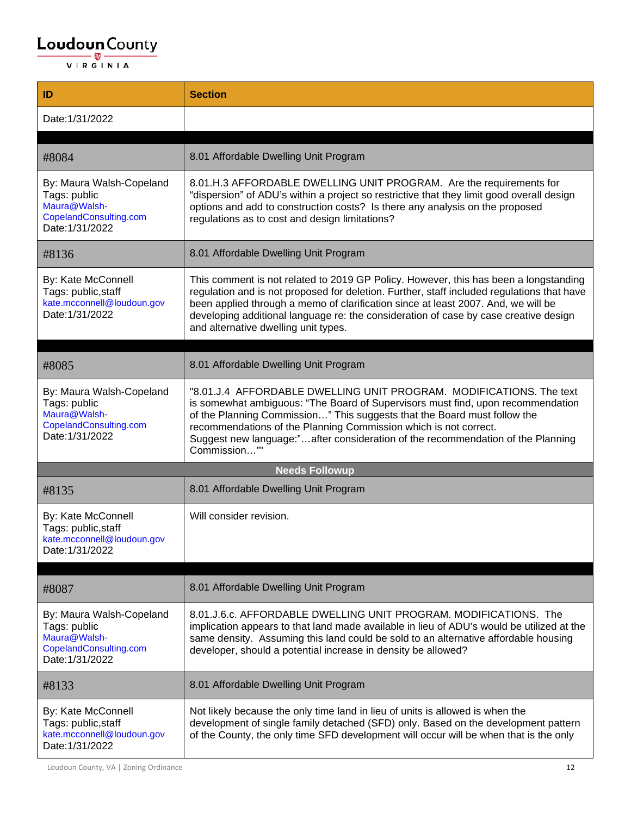| ID                                                                                                    | <b>Section</b>                                                                                                                                                                                                                                                                                                                                                                                            |
|-------------------------------------------------------------------------------------------------------|-----------------------------------------------------------------------------------------------------------------------------------------------------------------------------------------------------------------------------------------------------------------------------------------------------------------------------------------------------------------------------------------------------------|
| Date: 1/31/2022                                                                                       |                                                                                                                                                                                                                                                                                                                                                                                                           |
|                                                                                                       |                                                                                                                                                                                                                                                                                                                                                                                                           |
| #8084                                                                                                 | 8.01 Affordable Dwelling Unit Program                                                                                                                                                                                                                                                                                                                                                                     |
| By: Maura Walsh-Copeland<br>Tags: public<br>Maura@Walsh-<br>CopelandConsulting.com<br>Date: 1/31/2022 | 8.01.H.3 AFFORDABLE DWELLING UNIT PROGRAM. Are the requirements for<br>"dispersion" of ADU's within a project so restrictive that they limit good overall design<br>options and add to construction costs? Is there any analysis on the proposed<br>regulations as to cost and design limitations?                                                                                                        |
| #8136                                                                                                 | 8.01 Affordable Dwelling Unit Program                                                                                                                                                                                                                                                                                                                                                                     |
| By: Kate McConnell<br>Tags: public, staff<br>kate.mcconnell@loudoun.gov<br>Date: 1/31/2022            | This comment is not related to 2019 GP Policy. However, this has been a longstanding<br>regulation and is not proposed for deletion. Further, staff included regulations that have<br>been applied through a memo of clarification since at least 2007. And, we will be<br>developing additional language re: the consideration of case by case creative design<br>and alternative dwelling unit types.   |
| #8085                                                                                                 | 8.01 Affordable Dwelling Unit Program                                                                                                                                                                                                                                                                                                                                                                     |
| By: Maura Walsh-Copeland<br>Tags: public<br>Maura@Walsh-<br>CopelandConsulting.com<br>Date: 1/31/2022 | "8.01.J.4 AFFORDABLE DWELLING UNIT PROGRAM. MODIFICATIONS. The text<br>is somewhat ambiguous: "The Board of Supervisors must find, upon recommendation<br>of the Planning Commission" This suggests that the Board must follow the<br>recommendations of the Planning Commission which is not correct.<br>Suggest new language:"after consideration of the recommendation of the Planning<br>Commission"" |
|                                                                                                       | <b>Needs Followup</b>                                                                                                                                                                                                                                                                                                                                                                                     |
| #8135                                                                                                 | 8.01 Affordable Dwelling Unit Program                                                                                                                                                                                                                                                                                                                                                                     |
| By: Kate McConnell<br>Tags: public, staff<br>kate.mcconnell@loudoun.gov<br>Date: 1/31/2022            | Will consider revision.                                                                                                                                                                                                                                                                                                                                                                                   |
| #8087                                                                                                 | 8.01 Affordable Dwelling Unit Program                                                                                                                                                                                                                                                                                                                                                                     |
| By: Maura Walsh-Copeland<br>Tags: public<br>Maura@Walsh-<br>CopelandConsulting.com<br>Date: 1/31/2022 | 8.01.J.6.c. AFFORDABLE DWELLING UNIT PROGRAM. MODIFICATIONS. The<br>implication appears to that land made available in lieu of ADU's would be utilized at the<br>same density. Assuming this land could be sold to an alternative affordable housing<br>developer, should a potential increase in density be allowed?                                                                                     |
| #8133                                                                                                 | 8.01 Affordable Dwelling Unit Program                                                                                                                                                                                                                                                                                                                                                                     |
| By: Kate McConnell<br>Tags: public, staff<br>kate.mcconnell@loudoun.gov<br>Date: 1/31/2022            | Not likely because the only time land in lieu of units is allowed is when the<br>development of single family detached (SFD) only. Based on the development pattern<br>of the County, the only time SFD development will occur will be when that is the only                                                                                                                                              |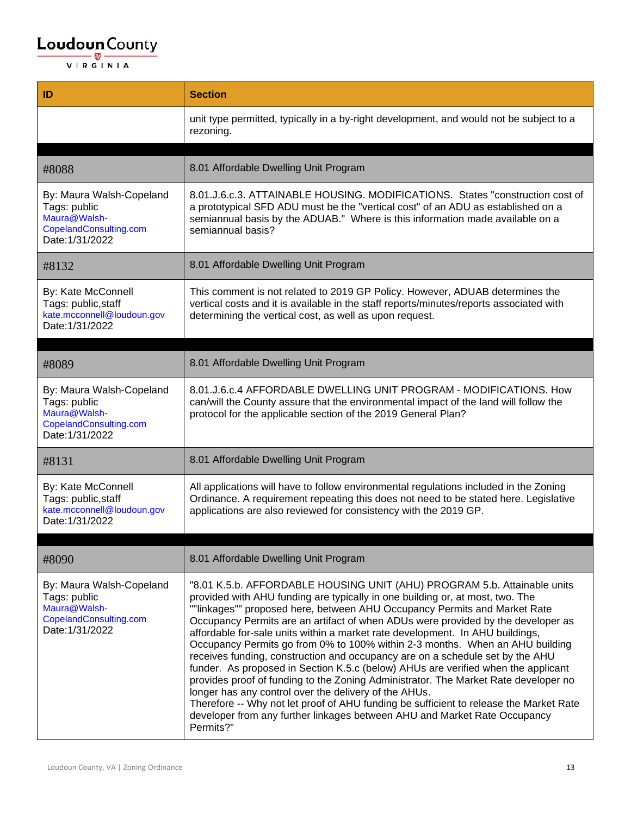# $\underbrace{\textbf{Loudoun}\xspace}_{\text{VIR GINIA}}\textbf{County}}$

| ID                                                                                                    | <b>Section</b>                                                                                                                                                                                                                                                                                                                                                                                                                                                                                                                                                                                                                                                                                                                                                                                                                                                                                                                                                                                        |
|-------------------------------------------------------------------------------------------------------|-------------------------------------------------------------------------------------------------------------------------------------------------------------------------------------------------------------------------------------------------------------------------------------------------------------------------------------------------------------------------------------------------------------------------------------------------------------------------------------------------------------------------------------------------------------------------------------------------------------------------------------------------------------------------------------------------------------------------------------------------------------------------------------------------------------------------------------------------------------------------------------------------------------------------------------------------------------------------------------------------------|
|                                                                                                       | unit type permitted, typically in a by-right development, and would not be subject to a<br>rezoning.                                                                                                                                                                                                                                                                                                                                                                                                                                                                                                                                                                                                                                                                                                                                                                                                                                                                                                  |
|                                                                                                       |                                                                                                                                                                                                                                                                                                                                                                                                                                                                                                                                                                                                                                                                                                                                                                                                                                                                                                                                                                                                       |
| #8088                                                                                                 | 8.01 Affordable Dwelling Unit Program                                                                                                                                                                                                                                                                                                                                                                                                                                                                                                                                                                                                                                                                                                                                                                                                                                                                                                                                                                 |
| By: Maura Walsh-Copeland<br>Tags: public<br>Maura@Walsh-<br>CopelandConsulting.com<br>Date: 1/31/2022 | 8.01.J.6.c.3. ATTAINABLE HOUSING. MODIFICATIONS. States "construction cost of<br>a prototypical SFD ADU must be the "vertical cost" of an ADU as established on a<br>semiannual basis by the ADUAB." Where is this information made available on a<br>semiannual basis?                                                                                                                                                                                                                                                                                                                                                                                                                                                                                                                                                                                                                                                                                                                               |
| #8132                                                                                                 | 8.01 Affordable Dwelling Unit Program                                                                                                                                                                                                                                                                                                                                                                                                                                                                                                                                                                                                                                                                                                                                                                                                                                                                                                                                                                 |
| By: Kate McConnell<br>Tags: public, staff<br>kate.mcconnell@loudoun.gov<br>Date: 1/31/2022            | This comment is not related to 2019 GP Policy. However, ADUAB determines the<br>vertical costs and it is available in the staff reports/minutes/reports associated with<br>determining the vertical cost, as well as upon request.                                                                                                                                                                                                                                                                                                                                                                                                                                                                                                                                                                                                                                                                                                                                                                    |
|                                                                                                       |                                                                                                                                                                                                                                                                                                                                                                                                                                                                                                                                                                                                                                                                                                                                                                                                                                                                                                                                                                                                       |
| #8089                                                                                                 | 8.01 Affordable Dwelling Unit Program                                                                                                                                                                                                                                                                                                                                                                                                                                                                                                                                                                                                                                                                                                                                                                                                                                                                                                                                                                 |
| By: Maura Walsh-Copeland<br>Tags: public<br>Maura@Walsh-<br>CopelandConsulting.com<br>Date: 1/31/2022 | 8.01.J.6.c.4 AFFORDABLE DWELLING UNIT PROGRAM - MODIFICATIONS. How<br>can/will the County assure that the environmental impact of the land will follow the<br>protocol for the applicable section of the 2019 General Plan?                                                                                                                                                                                                                                                                                                                                                                                                                                                                                                                                                                                                                                                                                                                                                                           |
| #8131                                                                                                 | 8.01 Affordable Dwelling Unit Program                                                                                                                                                                                                                                                                                                                                                                                                                                                                                                                                                                                                                                                                                                                                                                                                                                                                                                                                                                 |
| By: Kate McConnell<br>Tags: public, staff<br>kate.mcconnell@loudoun.gov<br>Date: 1/31/2022            | All applications will have to follow environmental regulations included in the Zoning<br>Ordinance. A requirement repeating this does not need to be stated here. Legislative<br>applications are also reviewed for consistency with the 2019 GP.                                                                                                                                                                                                                                                                                                                                                                                                                                                                                                                                                                                                                                                                                                                                                     |
|                                                                                                       |                                                                                                                                                                                                                                                                                                                                                                                                                                                                                                                                                                                                                                                                                                                                                                                                                                                                                                                                                                                                       |
| #8090                                                                                                 | 8.01 Affordable Dwelling Unit Program                                                                                                                                                                                                                                                                                                                                                                                                                                                                                                                                                                                                                                                                                                                                                                                                                                                                                                                                                                 |
| By: Maura Walsh-Copeland<br>Tags: public<br>Maura@Walsh-<br>CopelandConsulting.com<br>Date: 1/31/2022 | "8.01 K.5.b. AFFORDABLE HOUSING UNIT (AHU) PROGRAM 5.b. Attainable units<br>provided with AHU funding are typically in one building or, at most, two. The<br>""linkages"" proposed here, between AHU Occupancy Permits and Market Rate<br>Occupancy Permits are an artifact of when ADUs were provided by the developer as<br>affordable for-sale units within a market rate development. In AHU buildings,<br>Occupancy Permits go from 0% to 100% within 2-3 months. When an AHU building<br>receives funding, construction and occupancy are on a schedule set by the AHU<br>funder. As proposed in Section K.5.c (below) AHUs are verified when the applicant<br>provides proof of funding to the Zoning Administrator. The Market Rate developer no<br>longer has any control over the delivery of the AHUs.<br>Therefore -- Why not let proof of AHU funding be sufficient to release the Market Rate<br>developer from any further linkages between AHU and Market Rate Occupancy<br>Permits?" |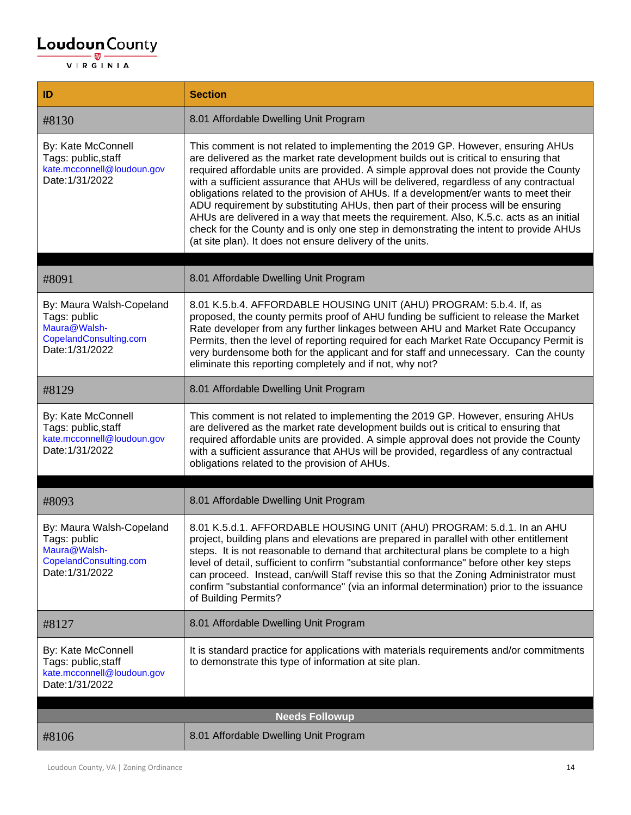# $\underbrace{\textbf{Loudoun}\xspace}_{\text{VIR GINIA}}\textbf{County}}$

| ID                                                                                                    | <b>Section</b>                                                                                                                                                                                                                                                                                                                                                                                                                                                                                                                                                                                                                                                                                                                                                                            |
|-------------------------------------------------------------------------------------------------------|-------------------------------------------------------------------------------------------------------------------------------------------------------------------------------------------------------------------------------------------------------------------------------------------------------------------------------------------------------------------------------------------------------------------------------------------------------------------------------------------------------------------------------------------------------------------------------------------------------------------------------------------------------------------------------------------------------------------------------------------------------------------------------------------|
| #8130                                                                                                 | 8.01 Affordable Dwelling Unit Program                                                                                                                                                                                                                                                                                                                                                                                                                                                                                                                                                                                                                                                                                                                                                     |
| By: Kate McConnell<br>Tags: public, staff<br>kate.mcconnell@loudoun.gov<br>Date: 1/31/2022            | This comment is not related to implementing the 2019 GP. However, ensuring AHUs<br>are delivered as the market rate development builds out is critical to ensuring that<br>required affordable units are provided. A simple approval does not provide the County<br>with a sufficient assurance that AHUs will be delivered, regardless of any contractual<br>obligations related to the provision of AHUs. If a development/er wants to meet their<br>ADU requirement by substituting AHUs, then part of their process will be ensuring<br>AHUs are delivered in a way that meets the requirement. Also, K.5.c. acts as an initial<br>check for the County and is only one step in demonstrating the intent to provide AHUs<br>(at site plan). It does not ensure delivery of the units. |
| #8091                                                                                                 | 8.01 Affordable Dwelling Unit Program                                                                                                                                                                                                                                                                                                                                                                                                                                                                                                                                                                                                                                                                                                                                                     |
| By: Maura Walsh-Copeland<br>Tags: public<br>Maura@Walsh-<br>CopelandConsulting.com<br>Date: 1/31/2022 | 8.01 K.5.b.4. AFFORDABLE HOUSING UNIT (AHU) PROGRAM: 5.b.4. If, as<br>proposed, the county permits proof of AHU funding be sufficient to release the Market<br>Rate developer from any further linkages between AHU and Market Rate Occupancy<br>Permits, then the level of reporting required for each Market Rate Occupancy Permit is<br>very burdensome both for the applicant and for staff and unnecessary. Can the county<br>eliminate this reporting completely and if not, why not?                                                                                                                                                                                                                                                                                               |
| #8129                                                                                                 | 8.01 Affordable Dwelling Unit Program                                                                                                                                                                                                                                                                                                                                                                                                                                                                                                                                                                                                                                                                                                                                                     |
| By: Kate McConnell<br>Tags: public, staff<br>kate.mcconnell@loudoun.gov<br>Date: 1/31/2022            | This comment is not related to implementing the 2019 GP. However, ensuring AHUs<br>are delivered as the market rate development builds out is critical to ensuring that<br>required affordable units are provided. A simple approval does not provide the County<br>with a sufficient assurance that AHUs will be provided, regardless of any contractual<br>obligations related to the provision of AHUs.                                                                                                                                                                                                                                                                                                                                                                                |
| #8093                                                                                                 | 8.01 Affordable Dwelling Unit Program                                                                                                                                                                                                                                                                                                                                                                                                                                                                                                                                                                                                                                                                                                                                                     |
| By: Maura Walsh-Copeland<br>Tags: public<br>Maura@Walsh-<br>CopelandConsulting.com<br>Date: 1/31/2022 | 8.01 K.5.d.1. AFFORDABLE HOUSING UNIT (AHU) PROGRAM: 5.d.1. In an AHU<br>project, building plans and elevations are prepared in parallel with other entitlement<br>steps. It is not reasonable to demand that architectural plans be complete to a high<br>level of detail, sufficient to confirm "substantial conformance" before other key steps<br>can proceed. Instead, can/will Staff revise this so that the Zoning Administrator must<br>confirm "substantial conformance" (via an informal determination) prior to the issuance<br>of Building Permits?                                                                                                                                                                                                                           |
| #8127                                                                                                 | 8.01 Affordable Dwelling Unit Program                                                                                                                                                                                                                                                                                                                                                                                                                                                                                                                                                                                                                                                                                                                                                     |
| By: Kate McConnell<br>Tags: public, staff<br>kate.mcconnell@loudoun.gov<br>Date: 1/31/2022            | It is standard practice for applications with materials requirements and/or commitments<br>to demonstrate this type of information at site plan.                                                                                                                                                                                                                                                                                                                                                                                                                                                                                                                                                                                                                                          |
| <b>Needs Followup</b>                                                                                 |                                                                                                                                                                                                                                                                                                                                                                                                                                                                                                                                                                                                                                                                                                                                                                                           |
| #8106                                                                                                 | 8.01 Affordable Dwelling Unit Program                                                                                                                                                                                                                                                                                                                                                                                                                                                                                                                                                                                                                                                                                                                                                     |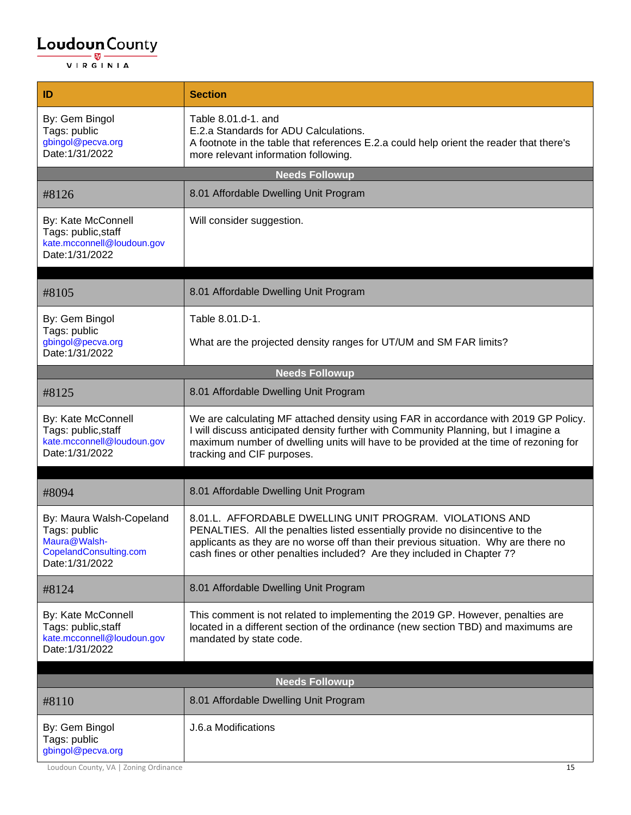| ID                                                                                                    | <b>Section</b>                                                                                                                                                                                                                                                                                               |
|-------------------------------------------------------------------------------------------------------|--------------------------------------------------------------------------------------------------------------------------------------------------------------------------------------------------------------------------------------------------------------------------------------------------------------|
| By: Gem Bingol<br>Tags: public<br>gbingol@pecva.org<br>Date: 1/31/2022                                | Table 8.01.d-1, and<br>E.2.a Standards for ADU Calculations.<br>A footnote in the table that references E.2.a could help orient the reader that there's<br>more relevant information following.                                                                                                              |
|                                                                                                       | <b>Needs Followup</b>                                                                                                                                                                                                                                                                                        |
| #8126                                                                                                 | 8.01 Affordable Dwelling Unit Program                                                                                                                                                                                                                                                                        |
| By: Kate McConnell<br>Tags: public, staff<br>kate.mcconnell@loudoun.gov<br>Date: 1/31/2022            | Will consider suggestion.                                                                                                                                                                                                                                                                                    |
| #8105                                                                                                 | 8.01 Affordable Dwelling Unit Program                                                                                                                                                                                                                                                                        |
| By: Gem Bingol                                                                                        | Table 8.01.D-1.                                                                                                                                                                                                                                                                                              |
| Tags: public<br>gbingol@pecva.org<br>Date: 1/31/2022                                                  | What are the projected density ranges for UT/UM and SM FAR limits?                                                                                                                                                                                                                                           |
|                                                                                                       | <b>Needs Followup</b>                                                                                                                                                                                                                                                                                        |
| #8125                                                                                                 | 8.01 Affordable Dwelling Unit Program                                                                                                                                                                                                                                                                        |
| By: Kate McConnell<br>Tags: public, staff<br>kate.mcconnell@loudoun.gov<br>Date: 1/31/2022            | We are calculating MF attached density using FAR in accordance with 2019 GP Policy.<br>I will discuss anticipated density further with Community Planning, but I imagine a<br>maximum number of dwelling units will have to be provided at the time of rezoning for<br>tracking and CIF purposes.            |
| #8094                                                                                                 | 8.01 Affordable Dwelling Unit Program                                                                                                                                                                                                                                                                        |
| By: Maura Walsh-Copeland<br>Tags: public<br>Maura@Walsh-<br>CopelandConsulting.com<br>Date: 1/31/2022 | 8.01.L. AFFORDABLE DWELLING UNIT PROGRAM. VIOLATIONS AND<br>PENALTIES. All the penalties listed essentially provide no disincentive to the<br>applicants as they are no worse off than their previous situation. Why are there no<br>cash fines or other penalties included? Are they included in Chapter 7? |
| #8124                                                                                                 | 8.01 Affordable Dwelling Unit Program                                                                                                                                                                                                                                                                        |
| By: Kate McConnell<br>Tags: public, staff<br>kate.mcconnell@loudoun.gov<br>Date: 1/31/2022            | This comment is not related to implementing the 2019 GP. However, penalties are<br>located in a different section of the ordinance (new section TBD) and maximums are<br>mandated by state code.                                                                                                             |
|                                                                                                       | <b>Needs Followup</b>                                                                                                                                                                                                                                                                                        |
|                                                                                                       | 8.01 Affordable Dwelling Unit Program                                                                                                                                                                                                                                                                        |
| #8110                                                                                                 |                                                                                                                                                                                                                                                                                                              |
| By: Gem Bingol<br>Tags: public<br>gbingol@pecva.org                                                   | J.6.a Modifications                                                                                                                                                                                                                                                                                          |

Loudoun County, VA | Zoning Ordinance 15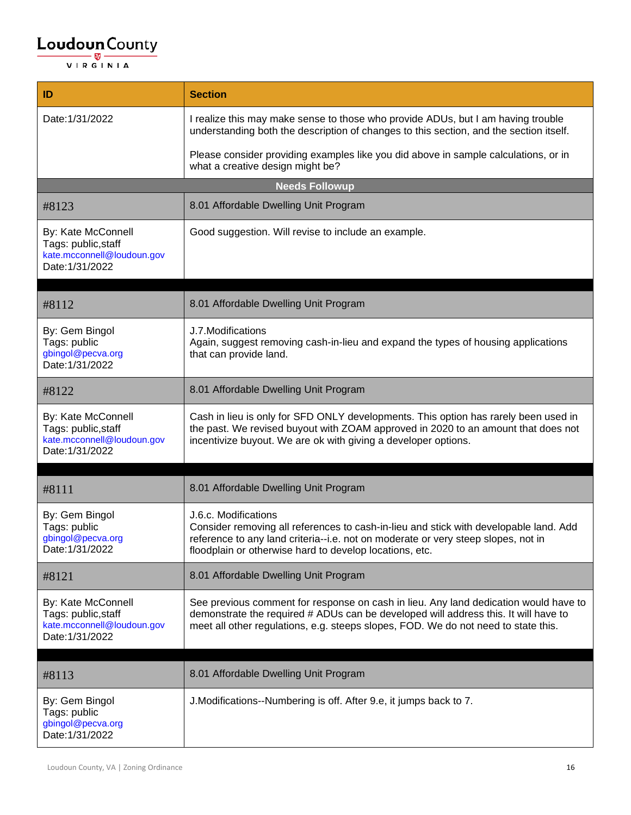| ID                                                                                         | <b>Section</b>                                                                                                                                                                                                                                                    |
|--------------------------------------------------------------------------------------------|-------------------------------------------------------------------------------------------------------------------------------------------------------------------------------------------------------------------------------------------------------------------|
| Date: 1/31/2022                                                                            | I realize this may make sense to those who provide ADUs, but I am having trouble<br>understanding both the description of changes to this section, and the section itself.                                                                                        |
|                                                                                            | Please consider providing examples like you did above in sample calculations, or in<br>what a creative design might be?                                                                                                                                           |
|                                                                                            | <b>Needs Followup</b>                                                                                                                                                                                                                                             |
| #8123                                                                                      | 8.01 Affordable Dwelling Unit Program                                                                                                                                                                                                                             |
| By: Kate McConnell<br>Tags: public, staff<br>kate.mcconnell@loudoun.gov<br>Date: 1/31/2022 | Good suggestion. Will revise to include an example.                                                                                                                                                                                                               |
| #8112                                                                                      | 8.01 Affordable Dwelling Unit Program                                                                                                                                                                                                                             |
| By: Gem Bingol<br>Tags: public<br>gbingol@pecva.org<br>Date: 1/31/2022                     | J.7. Modifications<br>Again, suggest removing cash-in-lieu and expand the types of housing applications<br>that can provide land.                                                                                                                                 |
| #8122                                                                                      | 8.01 Affordable Dwelling Unit Program                                                                                                                                                                                                                             |
| By: Kate McConnell<br>Tags: public, staff<br>kate.mcconnell@loudoun.gov<br>Date: 1/31/2022 | Cash in lieu is only for SFD ONLY developments. This option has rarely been used in<br>the past. We revised buyout with ZOAM approved in 2020 to an amount that does not<br>incentivize buyout. We are ok with giving a developer options.                        |
| #8111                                                                                      | 8.01 Affordable Dwelling Unit Program                                                                                                                                                                                                                             |
| By: Gem Bingol<br>Tags: public<br>gbingol@pecva.org<br>Date: 1/31/2022                     | J.6.c. Modifications<br>Consider removing all references to cash-in-lieu and stick with developable land. Add<br>reference to any land criteria--i.e. not on moderate or very steep slopes, not in<br>floodplain or otherwise hard to develop locations, etc.     |
| #8121                                                                                      | 8.01 Affordable Dwelling Unit Program                                                                                                                                                                                                                             |
| By: Kate McConnell<br>Tags: public, staff<br>kate.mcconnell@loudoun.gov<br>Date: 1/31/2022 | See previous comment for response on cash in lieu. Any land dedication would have to<br>demonstrate the required # ADUs can be developed will address this. It will have to<br>meet all other regulations, e.g. steeps slopes, FOD. We do not need to state this. |
|                                                                                            |                                                                                                                                                                                                                                                                   |
| #8113                                                                                      | 8.01 Affordable Dwelling Unit Program                                                                                                                                                                                                                             |
| By: Gem Bingol<br>Tags: public<br>gbingol@pecva.org<br>Date: 1/31/2022                     | J. Modifications--Numbering is off. After 9.e, it jumps back to 7.                                                                                                                                                                                                |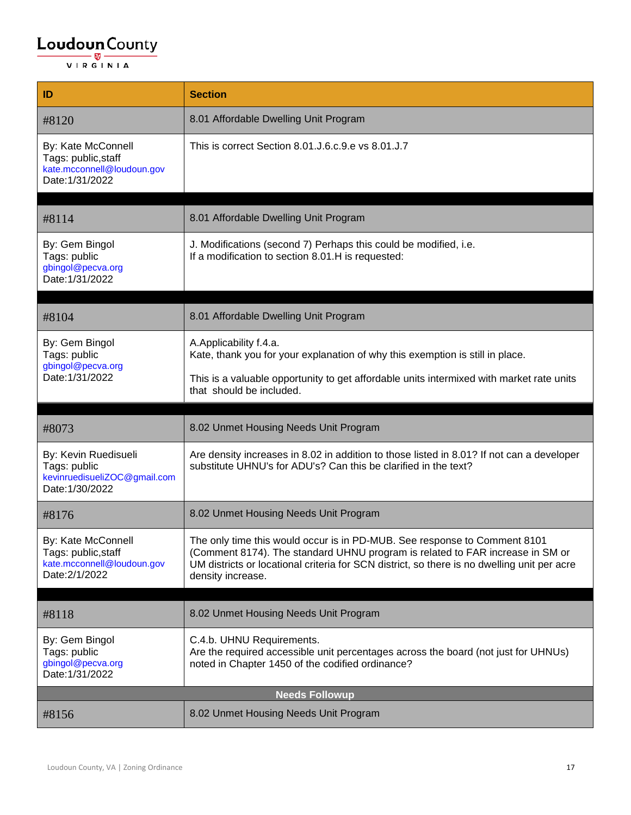| ID                                                                                         | <b>Section</b>                                                                                                                                                                                                                                                                 |
|--------------------------------------------------------------------------------------------|--------------------------------------------------------------------------------------------------------------------------------------------------------------------------------------------------------------------------------------------------------------------------------|
| #8120                                                                                      | 8.01 Affordable Dwelling Unit Program                                                                                                                                                                                                                                          |
| By: Kate McConnell<br>Tags: public, staff<br>kate.mcconnell@loudoun.gov<br>Date: 1/31/2022 | This is correct Section 8.01.J.6.c.9.e vs 8.01.J.7                                                                                                                                                                                                                             |
| #8114                                                                                      | 8.01 Affordable Dwelling Unit Program                                                                                                                                                                                                                                          |
| By: Gem Bingol<br>Tags: public<br>gbingol@pecva.org<br>Date: 1/31/2022                     | J. Modifications (second 7) Perhaps this could be modified, i.e.<br>If a modification to section 8.01.H is requested:                                                                                                                                                          |
| #8104                                                                                      | 8.01 Affordable Dwelling Unit Program                                                                                                                                                                                                                                          |
| By: Gem Bingol<br>Tags: public<br>gbingol@pecva.org<br>Date: 1/31/2022                     | A.Applicability f.4.a.<br>Kate, thank you for your explanation of why this exemption is still in place.                                                                                                                                                                        |
|                                                                                            | This is a valuable opportunity to get affordable units intermixed with market rate units<br>that should be included.                                                                                                                                                           |
|                                                                                            | 8.02 Unmet Housing Needs Unit Program                                                                                                                                                                                                                                          |
| #8073                                                                                      |                                                                                                                                                                                                                                                                                |
| By: Kevin Ruedisueli<br>Tags: public<br>kevinruedisueliZOC@gmail.com<br>Date: 1/30/2022    | Are density increases in 8.02 in addition to those listed in 8.01? If not can a developer<br>substitute UHNU's for ADU's? Can this be clarified in the text?                                                                                                                   |
| #8176                                                                                      | 8.02 Unmet Housing Needs Unit Program                                                                                                                                                                                                                                          |
| By: Kate McConnell<br>Tags: public, staff<br>kate.mcconnell@loudoun.gov<br>Date: 2/1/2022  | The only time this would occur is in PD-MUB. See response to Comment 8101<br>(Comment 8174). The standard UHNU program is related to FAR increase in SM or<br>UM districts or locational criteria for SCN district, so there is no dwelling unit per acre<br>density increase. |
|                                                                                            |                                                                                                                                                                                                                                                                                |
| #8118                                                                                      | 8.02 Unmet Housing Needs Unit Program                                                                                                                                                                                                                                          |
| By: Gem Bingol<br>Tags: public<br>gbingol@pecva.org<br>Date: 1/31/2022                     | C.4.b. UHNU Requirements.<br>Are the required accessible unit percentages across the board (not just for UHNUs)<br>noted in Chapter 1450 of the codified ordinance?                                                                                                            |
|                                                                                            | <b>Needs Followup</b>                                                                                                                                                                                                                                                          |
| #8156                                                                                      | 8.02 Unmet Housing Needs Unit Program                                                                                                                                                                                                                                          |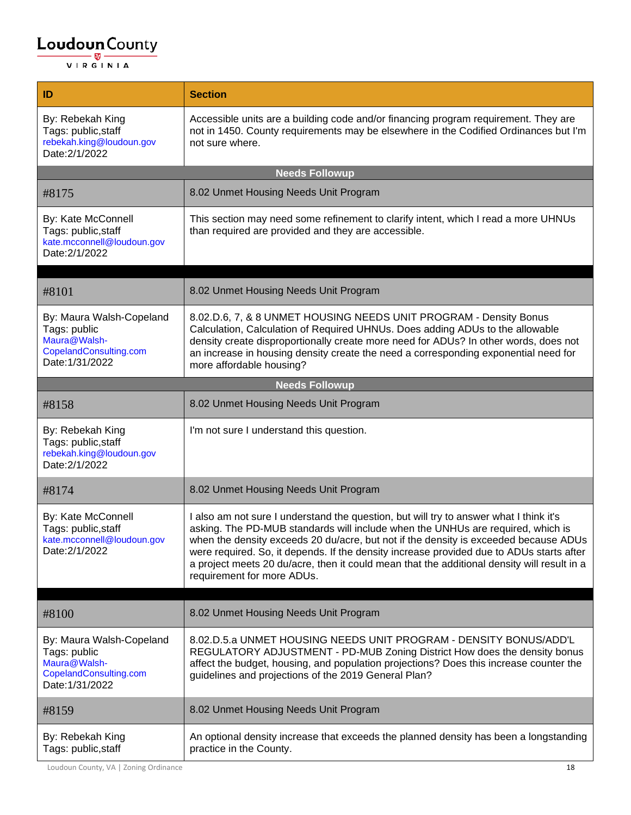| ID                                                                                                    | <b>Section</b>                                                                                                                                                                                                                                                                                                                                                                                                                                                                             |
|-------------------------------------------------------------------------------------------------------|--------------------------------------------------------------------------------------------------------------------------------------------------------------------------------------------------------------------------------------------------------------------------------------------------------------------------------------------------------------------------------------------------------------------------------------------------------------------------------------------|
| By: Rebekah King<br>Tags: public, staff<br>rebekah.king@loudoun.gov<br>Date: 2/1/2022                 | Accessible units are a building code and/or financing program requirement. They are<br>not in 1450. County requirements may be elsewhere in the Codified Ordinances but I'm<br>not sure where.                                                                                                                                                                                                                                                                                             |
|                                                                                                       | <b>Needs Followup</b>                                                                                                                                                                                                                                                                                                                                                                                                                                                                      |
| #8175                                                                                                 | 8.02 Unmet Housing Needs Unit Program                                                                                                                                                                                                                                                                                                                                                                                                                                                      |
| By: Kate McConnell<br>Tags: public, staff<br>kate.mcconnell@loudoun.gov<br>Date: 2/1/2022             | This section may need some refinement to clarify intent, which I read a more UHNUs<br>than required are provided and they are accessible.                                                                                                                                                                                                                                                                                                                                                  |
| #8101                                                                                                 | 8.02 Unmet Housing Needs Unit Program                                                                                                                                                                                                                                                                                                                                                                                                                                                      |
| By: Maura Walsh-Copeland<br>Tags: public<br>Maura@Walsh-<br>CopelandConsulting.com<br>Date: 1/31/2022 | 8.02.D.6, 7, & 8 UNMET HOUSING NEEDS UNIT PROGRAM - Density Bonus<br>Calculation, Calculation of Required UHNUs. Does adding ADUs to the allowable<br>density create disproportionally create more need for ADUs? In other words, does not<br>an increase in housing density create the need a corresponding exponential need for<br>more affordable housing?                                                                                                                              |
|                                                                                                       | <b>Needs Followup</b>                                                                                                                                                                                                                                                                                                                                                                                                                                                                      |
| #8158                                                                                                 | 8.02 Unmet Housing Needs Unit Program                                                                                                                                                                                                                                                                                                                                                                                                                                                      |
| By: Rebekah King<br>Tags: public, staff<br>rebekah.king@loudoun.gov<br>Date: 2/1/2022                 | I'm not sure I understand this question.                                                                                                                                                                                                                                                                                                                                                                                                                                                   |
| #8174                                                                                                 | 8.02 Unmet Housing Needs Unit Program                                                                                                                                                                                                                                                                                                                                                                                                                                                      |
| By: Kate McConnell<br>Tags: public, staff<br>kate.mcconnell@loudoun.gov<br>Date: 2/1/2022             | I also am not sure I understand the question, but will try to answer what I think it's<br>asking. The PD-MUB standards will include when the UNHUs are required, which is<br>when the density exceeds 20 du/acre, but not if the density is exceeded because ADUs<br>were required. So, it depends. If the density increase provided due to ADUs starts after<br>a project meets 20 du/acre, then it could mean that the additional density will result in a<br>requirement for more ADUs. |
|                                                                                                       |                                                                                                                                                                                                                                                                                                                                                                                                                                                                                            |
| #8100                                                                                                 | 8.02 Unmet Housing Needs Unit Program                                                                                                                                                                                                                                                                                                                                                                                                                                                      |
| By: Maura Walsh-Copeland<br>Tags: public<br>Maura@Walsh-<br>CopelandConsulting.com<br>Date: 1/31/2022 | 8.02.D.5.a UNMET HOUSING NEEDS UNIT PROGRAM - DENSITY BONUS/ADD'L<br>REGULATORY ADJUSTMENT - PD-MUB Zoning District How does the density bonus<br>affect the budget, housing, and population projections? Does this increase counter the<br>guidelines and projections of the 2019 General Plan?                                                                                                                                                                                           |
| #8159                                                                                                 | 8.02 Unmet Housing Needs Unit Program                                                                                                                                                                                                                                                                                                                                                                                                                                                      |
| By: Rebekah King<br>Tags: public, staff                                                               | An optional density increase that exceeds the planned density has been a longstanding<br>practice in the County.                                                                                                                                                                                                                                                                                                                                                                           |

Loudoun County, VA | Zoning Ordinance 18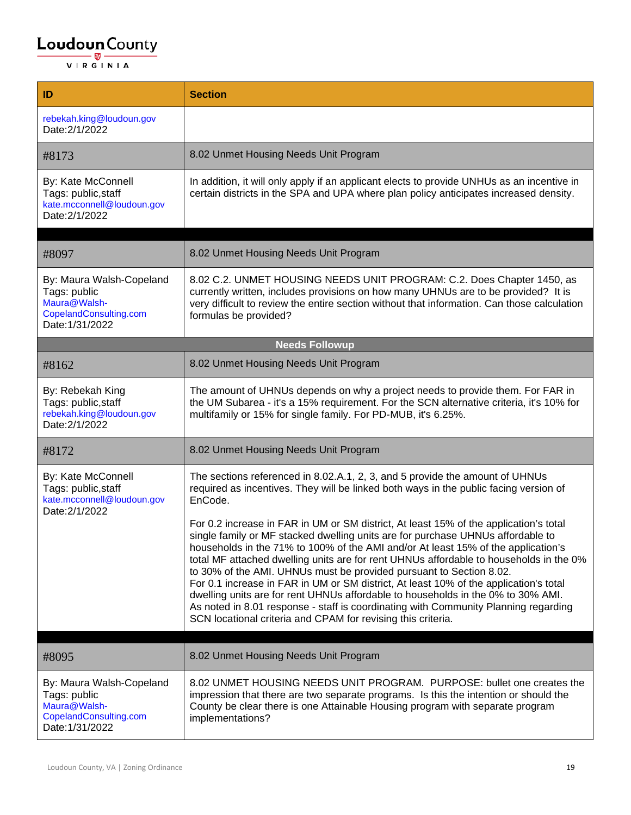| ID                                                                                                    | <b>Section</b>                                                                                                                                                                                                                                                                                                                                                                                                                                                                                                                                                                                                                                                                                                                                                                                                                                                                                                                                         |
|-------------------------------------------------------------------------------------------------------|--------------------------------------------------------------------------------------------------------------------------------------------------------------------------------------------------------------------------------------------------------------------------------------------------------------------------------------------------------------------------------------------------------------------------------------------------------------------------------------------------------------------------------------------------------------------------------------------------------------------------------------------------------------------------------------------------------------------------------------------------------------------------------------------------------------------------------------------------------------------------------------------------------------------------------------------------------|
| rebekah.king@loudoun.gov<br>Date: 2/1/2022                                                            |                                                                                                                                                                                                                                                                                                                                                                                                                                                                                                                                                                                                                                                                                                                                                                                                                                                                                                                                                        |
| #8173                                                                                                 | 8.02 Unmet Housing Needs Unit Program                                                                                                                                                                                                                                                                                                                                                                                                                                                                                                                                                                                                                                                                                                                                                                                                                                                                                                                  |
| By: Kate McConnell<br>Tags: public, staff<br>kate.mcconnell@loudoun.gov<br>Date: 2/1/2022             | In addition, it will only apply if an applicant elects to provide UNHUs as an incentive in<br>certain districts in the SPA and UPA where plan policy anticipates increased density.                                                                                                                                                                                                                                                                                                                                                                                                                                                                                                                                                                                                                                                                                                                                                                    |
| #8097                                                                                                 | 8.02 Unmet Housing Needs Unit Program                                                                                                                                                                                                                                                                                                                                                                                                                                                                                                                                                                                                                                                                                                                                                                                                                                                                                                                  |
| By: Maura Walsh-Copeland<br>Tags: public<br>Maura@Walsh-<br>CopelandConsulting.com<br>Date: 1/31/2022 | 8.02 C.2. UNMET HOUSING NEEDS UNIT PROGRAM: C.2. Does Chapter 1450, as<br>currently written, includes provisions on how many UHNUs are to be provided? It is<br>very difficult to review the entire section without that information. Can those calculation<br>formulas be provided?                                                                                                                                                                                                                                                                                                                                                                                                                                                                                                                                                                                                                                                                   |
|                                                                                                       | <b>Needs Followup</b>                                                                                                                                                                                                                                                                                                                                                                                                                                                                                                                                                                                                                                                                                                                                                                                                                                                                                                                                  |
| #8162                                                                                                 | 8.02 Unmet Housing Needs Unit Program                                                                                                                                                                                                                                                                                                                                                                                                                                                                                                                                                                                                                                                                                                                                                                                                                                                                                                                  |
| By: Rebekah King<br>Tags: public, staff<br>rebekah.king@loudoun.gov<br>Date: 2/1/2022                 | The amount of UHNUs depends on why a project needs to provide them. For FAR in<br>the UM Subarea - it's a 15% requirement. For the SCN alternative criteria, it's 10% for<br>multifamily or 15% for single family. For PD-MUB, it's 6.25%.                                                                                                                                                                                                                                                                                                                                                                                                                                                                                                                                                                                                                                                                                                             |
| #8172                                                                                                 | 8.02 Unmet Housing Needs Unit Program                                                                                                                                                                                                                                                                                                                                                                                                                                                                                                                                                                                                                                                                                                                                                                                                                                                                                                                  |
| By: Kate McConnell<br>Tags: public, staff<br>kate.mcconnell@loudoun.gov<br>Date: 2/1/2022             | The sections referenced in 8.02.A.1, 2, 3, and 5 provide the amount of UHNUs<br>required as incentives. They will be linked both ways in the public facing version of<br>EnCode.<br>For 0.2 increase in FAR in UM or SM district, At least 15% of the application's total<br>single family or MF stacked dwelling units are for purchase UHNUs affordable to<br>households in the 71% to 100% of the AMI and/or At least 15% of the application's<br>total MF attached dwelling units are for rent UHNUs affordable to households in the 0%<br>to 30% of the AMI. UHNUs must be provided pursuant to Section 8.02.<br>For 0.1 increase in FAR in UM or SM district, At least 10% of the application's total<br>dwelling units are for rent UHNUs affordable to households in the 0% to 30% AMI.<br>As noted in 8.01 response - staff is coordinating with Community Planning regarding<br>SCN locational criteria and CPAM for revising this criteria. |
| #8095                                                                                                 | 8.02 Unmet Housing Needs Unit Program                                                                                                                                                                                                                                                                                                                                                                                                                                                                                                                                                                                                                                                                                                                                                                                                                                                                                                                  |
| By: Maura Walsh-Copeland<br>Tags: public<br>Maura@Walsh-<br>CopelandConsulting.com<br>Date: 1/31/2022 | 8.02 UNMET HOUSING NEEDS UNIT PROGRAM. PURPOSE: bullet one creates the<br>impression that there are two separate programs. Is this the intention or should the<br>County be clear there is one Attainable Housing program with separate program<br>implementations?                                                                                                                                                                                                                                                                                                                                                                                                                                                                                                                                                                                                                                                                                    |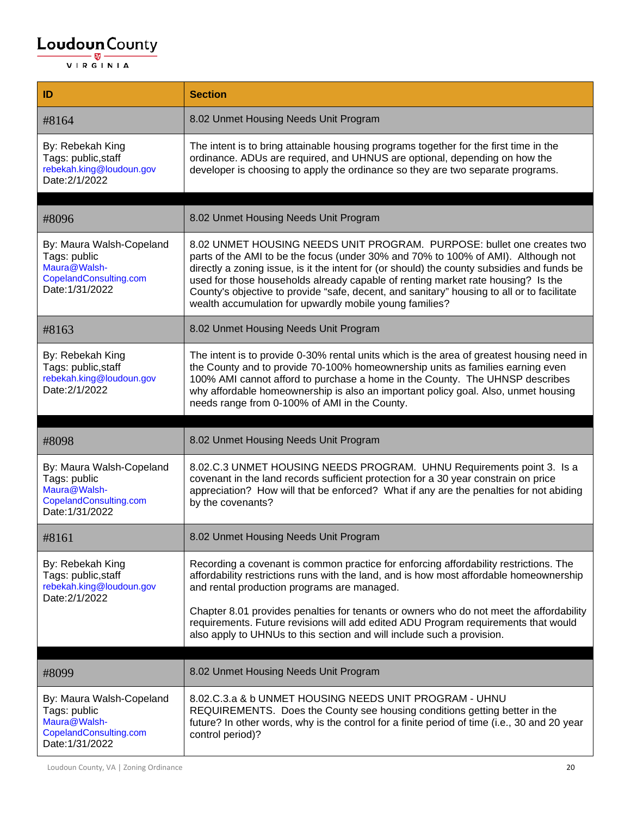| ID                                                                                                    | <b>Section</b>                                                                                                                                                                                                                                                                                                                                                                                                                                                                                          |
|-------------------------------------------------------------------------------------------------------|---------------------------------------------------------------------------------------------------------------------------------------------------------------------------------------------------------------------------------------------------------------------------------------------------------------------------------------------------------------------------------------------------------------------------------------------------------------------------------------------------------|
| #8164                                                                                                 | 8.02 Unmet Housing Needs Unit Program                                                                                                                                                                                                                                                                                                                                                                                                                                                                   |
| By: Rebekah King<br>Tags: public, staff<br>rebekah.king@loudoun.gov<br>Date: 2/1/2022                 | The intent is to bring attainable housing programs together for the first time in the<br>ordinance. ADUs are required, and UHNUS are optional, depending on how the<br>developer is choosing to apply the ordinance so they are two separate programs.                                                                                                                                                                                                                                                  |
| #8096                                                                                                 | 8.02 Unmet Housing Needs Unit Program                                                                                                                                                                                                                                                                                                                                                                                                                                                                   |
| By: Maura Walsh-Copeland<br>Tags: public<br>Maura@Walsh-<br>CopelandConsulting.com<br>Date: 1/31/2022 | 8.02 UNMET HOUSING NEEDS UNIT PROGRAM. PURPOSE: bullet one creates two<br>parts of the AMI to be the focus (under 30% and 70% to 100% of AMI). Although not<br>directly a zoning issue, is it the intent for (or should) the county subsidies and funds be<br>used for those households already capable of renting market rate housing? Is the<br>County's objective to provide "safe, decent, and sanitary" housing to all or to facilitate<br>wealth accumulation for upwardly mobile young families? |
| #8163                                                                                                 | 8.02 Unmet Housing Needs Unit Program                                                                                                                                                                                                                                                                                                                                                                                                                                                                   |
| By: Rebekah King<br>Tags: public, staff<br>rebekah.king@loudoun.gov<br>Date: 2/1/2022                 | The intent is to provide 0-30% rental units which is the area of greatest housing need in<br>the County and to provide 70-100% homeownership units as families earning even<br>100% AMI cannot afford to purchase a home in the County. The UHNSP describes<br>why affordable homeownership is also an important policy goal. Also, unmet housing<br>needs range from 0-100% of AMI in the County.                                                                                                      |
|                                                                                                       |                                                                                                                                                                                                                                                                                                                                                                                                                                                                                                         |
| #8098                                                                                                 | 8.02 Unmet Housing Needs Unit Program                                                                                                                                                                                                                                                                                                                                                                                                                                                                   |
| By: Maura Walsh-Copeland<br>Tags: public<br>Maura@Walsh-<br>CopelandConsulting.com<br>Date: 1/31/2022 | 8.02.C.3 UNMET HOUSING NEEDS PROGRAM. UHNU Requirements point 3. Is a<br>covenant in the land records sufficient protection for a 30 year constrain on price<br>appreciation? How will that be enforced? What if any are the penalties for not abiding<br>by the covenants?                                                                                                                                                                                                                             |
| #8161                                                                                                 | 8.02 Unmet Housing Needs Unit Program                                                                                                                                                                                                                                                                                                                                                                                                                                                                   |
| By: Rebekah King<br>Tags: public, staff<br>rebekah.king@loudoun.gov<br>Date: 2/1/2022                 | Recording a covenant is common practice for enforcing affordability restrictions. The<br>affordability restrictions runs with the land, and is how most affordable homeownership<br>and rental production programs are managed.                                                                                                                                                                                                                                                                         |
|                                                                                                       | Chapter 8.01 provides penalties for tenants or owners who do not meet the affordability<br>requirements. Future revisions will add edited ADU Program requirements that would<br>also apply to UHNUs to this section and will include such a provision.                                                                                                                                                                                                                                                 |
| #8099                                                                                                 | 8.02 Unmet Housing Needs Unit Program                                                                                                                                                                                                                                                                                                                                                                                                                                                                   |
| By: Maura Walsh-Copeland<br>Tags: public<br>Maura@Walsh-<br>CopelandConsulting.com<br>Date: 1/31/2022 | 8.02.C.3.a & b UNMET HOUSING NEEDS UNIT PROGRAM - UHNU<br>REQUIREMENTS. Does the County see housing conditions getting better in the<br>future? In other words, why is the control for a finite period of time (i.e., 30 and 20 year<br>control period)?                                                                                                                                                                                                                                                |